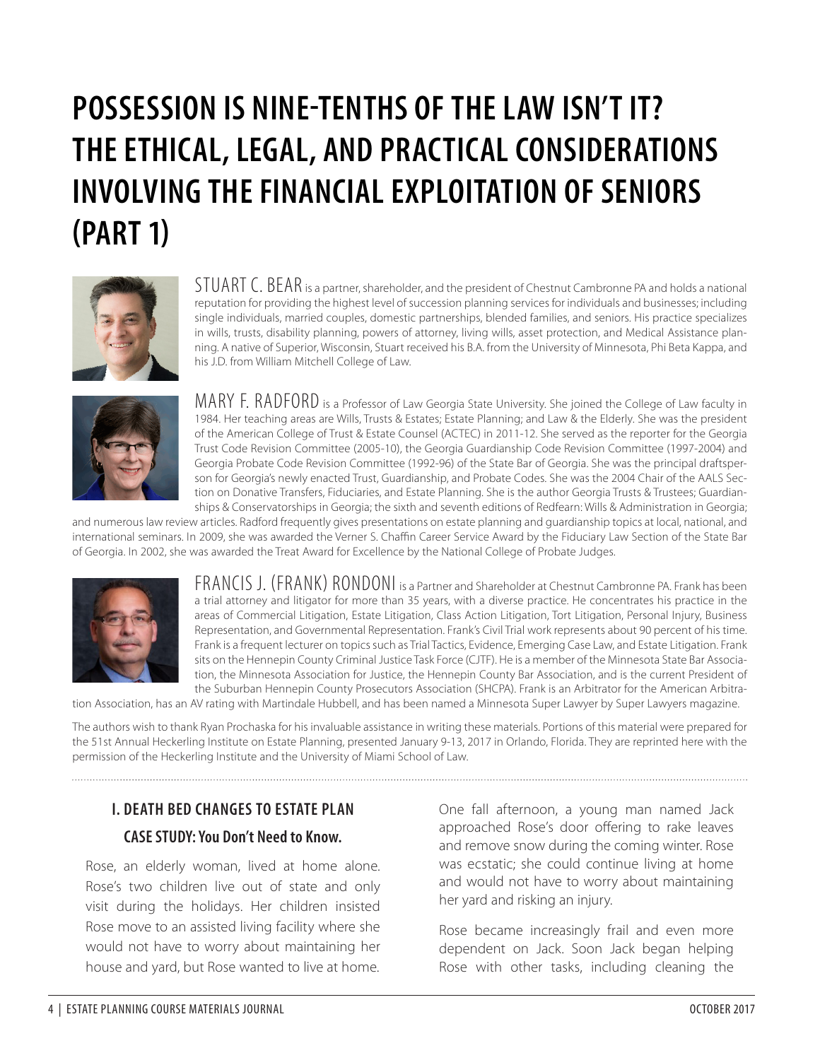# **POSSESSION IS NINE-TENTHS OF THE LAW ISN'T IT? THE ETHICAL, LEGAL, AND PRACTICAL CONSIDERATIONS INVOLVING THE FINANCIAL EXPLOITATION OF SENIORS (PART 1)**



STUART C. BEAR is a partner, shareholder, and the president of Chestnut Cambronne PA and holds a national reputation for providing the highest level of succession planning services for individuals and businesses; including single individuals, married couples, domestic partnerships, blended families, and seniors. His practice specializes in wills, trusts, disability planning, powers of attorney, living wills, asset protection, and Medical Assistance planning. A native of Superior, Wisconsin, Stuart received his B.A. from the University of Minnesota, Phi Beta Kappa, and his J.D. from William Mitchell College of Law.



MARY F. RADFORD is a Professor of Law Georgia State University. She joined the College of Law faculty in 1984. Her teaching areas are Wills, Trusts & Estates; Estate Planning; and Law & the Elderly. She was the president of the American College of Trust & Estate Counsel (ACTEC) in 2011-12. She served as the reporter for the Georgia Trust Code Revision Committee (2005-10), the Georgia Guardianship Code Revision Committee (1997-2004) and Georgia Probate Code Revision Committee (1992-96) of the State Bar of Georgia. She was the principal draftsperson for Georgia's newly enacted Trust, Guardianship, and Probate Codes. She was the 2004 Chair of the AALS Section on Donative Transfers, Fiduciaries, and Estate Planning. She is the author Georgia Trusts & Trustees; Guardianships & Conservatorships in Georgia; the sixth and seventh editions of Redfearn: Wills & Administration in Georgia;

and numerous law review articles. Radford frequently gives presentations on estate planning and guardianship topics at local, national, and international seminars. In 2009, she was awarded the Verner S. Chaffin Career Service Award by the Fiduciary Law Section of the State Bar of Georgia. In 2002, she was awarded the Treat Award for Excellence by the National College of Probate Judges.



FRANCIS J. (FRANK) RONDONI is a Partner and Shareholder at Chestnut Cambronne PA. Frank has been a trial attorney and litigator for more than 35 years, with a diverse practice. He concentrates his practice in the areas of Commercial Litigation, Estate Litigation, Class Action Litigation, Tort Litigation, Personal Injury, Business Representation, and Governmental Representation. Frank's Civil Trial work represents about 90 percent of his time. Frank is a frequent lecturer on topics such as Trial Tactics, Evidence, Emerging Case Law, and Estate Litigation. Frank sits on the Hennepin County Criminal Justice Task Force (CJTF). He is a member of the Minnesota State Bar Association, the Minnesota Association for Justice, the Hennepin County Bar Association, and is the current President of the Suburban Hennepin County Prosecutors Association (SHCPA). Frank is an Arbitrator for the American Arbitra-

tion Association, has an AV rating with Martindale Hubbell, and has been named a Minnesota Super Lawyer by Super Lawyers magazine.

The authors wish to thank Ryan Prochaska for his invaluable assistance in writing these materials. Portions of this material were prepared for the 51st Annual Heckerling Institute on Estate Planning, presented January 9-13, 2017 in Orlando, Florida. They are reprinted here with the permission of the Heckerling Institute and the University of Miami School of Law.

# **I. DEATH BED CHANGES TO ESTATE PLAN CASE STUDY: You Don't Need to Know.**

Rose, an elderly woman, lived at home alone. Rose's two children live out of state and only visit during the holidays. Her children insisted Rose move to an assisted living facility where she would not have to worry about maintaining her house and yard, but Rose wanted to live at home.

One fall afternoon, a young man named Jack approached Rose's door offering to rake leaves and remove snow during the coming winter. Rose was ecstatic; she could continue living at home and would not have to worry about maintaining her yard and risking an injury.

Rose became increasingly frail and even more dependent on Jack. Soon Jack began helping Rose with other tasks, including cleaning the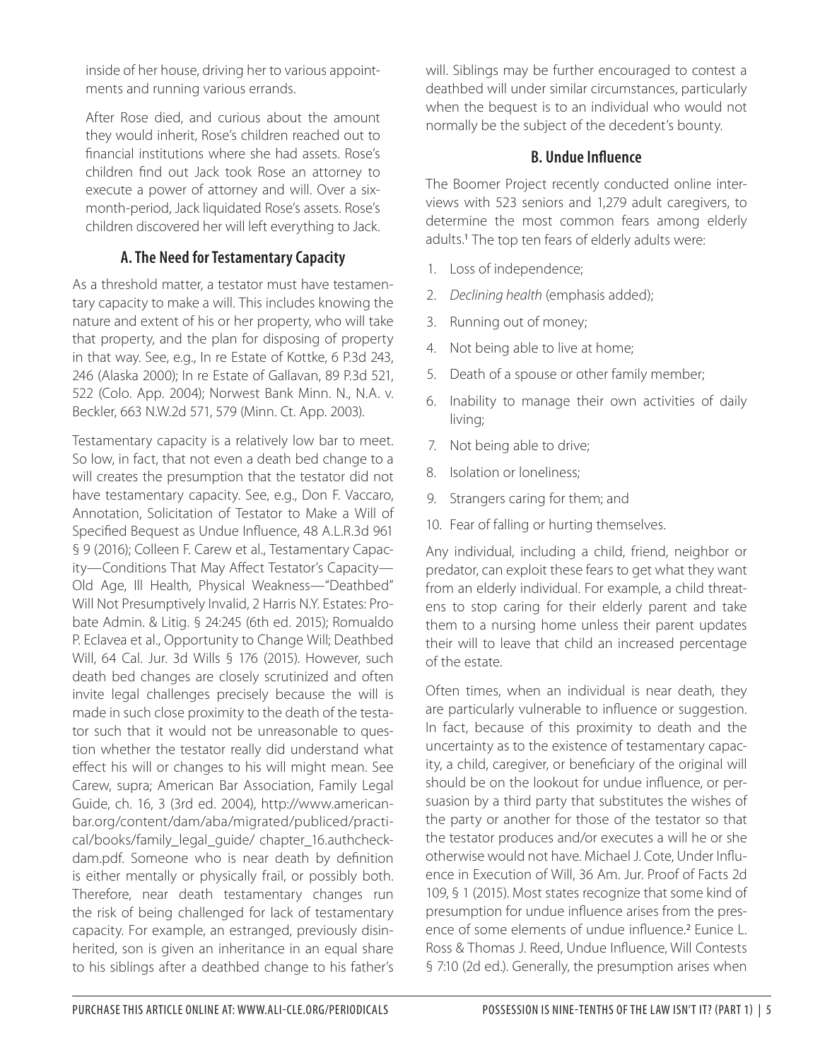inside of her house, driving her to various appointments and running various errands.

After Rose died, and curious about the amount they would inherit, Rose's children reached out to financial institutions where she had assets. Rose's children find out Jack took Rose an attorney to execute a power of attorney and will. Over a sixmonth-period, Jack liquidated Rose's assets. Rose's children discovered her will left everything to Jack.

#### **A. The Need for Testamentary Capacity**

As a threshold matter, a testator must have testamentary capacity to make a will. This includes knowing the nature and extent of his or her property, who will take that property, and the plan for disposing of property in that way. See, e.g., In re Estate of Kottke, 6 P.3d 243, 246 (Alaska 2000); In re Estate of Gallavan, 89 P.3d 521, 522 (Colo. App. 2004); Norwest Bank Minn. N., N.A. v. Beckler, 663 N.W.2d 571, 579 (Minn. Ct. App. 2003).

Testamentary capacity is a relatively low bar to meet. So low, in fact, that not even a death bed change to a will creates the presumption that the testator did not have testamentary capacity. See, e.g., Don F. Vaccaro, Annotation, Solicitation of Testator to Make a Will of Specified Bequest as Undue Influence, 48 A.L.R.3d 961 § 9 (2016); Colleen F. Carew et al., Testamentary Capacity—Conditions That May Affect Testator's Capacity— Old Age, Ill Health, Physical Weakness—"Deathbed" Will Not Presumptively Invalid, 2 Harris N.Y. Estates: Probate Admin. & Litig. § 24:245 (6th ed. 2015); Romualdo P. Eclavea et al., Opportunity to Change Will; Deathbed Will, 64 Cal. Jur. 3d Wills § 176 (2015). However, such death bed changes are closely scrutinized and often invite legal challenges precisely because the will is made in such close proximity to the death of the testator such that it would not be unreasonable to question whether the testator really did understand what effect his will or changes to his will might mean. See Carew, supra; American Bar Association, Family Legal Guide, ch. 16, 3 (3rd ed. 2004), http://www.americanbar.org/content/dam/aba/migrated/publiced/practical/books/family\_legal\_guide/ chapter\_16.authcheckdam.pdf. Someone who is near death by definition is either mentally or physically frail, or possibly both. Therefore, near death testamentary changes run the risk of being challenged for lack of testamentary capacity. For example, an estranged, previously disinherited, son is given an inheritance in an equal share to his siblings after a deathbed change to his father's

will. Siblings may be further encouraged to contest a deathbed will under similar circumstances, particularly when the bequest is to an individual who would not normally be the subject of the decedent's bounty.

#### **B. Undue Influence**

The Boomer Project recently conducted online interviews with 523 seniors and 1,279 adult caregivers, to determine the most common fears among elderly adults.<sup>1</sup> The top ten fears of elderly adults were:

- 1. Loss of independence;
- 2. *Declining health* (emphasis added);
- 3. Running out of money;
- 4. Not being able to live at home;
- 5. Death of a spouse or other family member;
- 6. Inability to manage their own activities of daily living;
- 7. Not being able to drive;
- 8. Isolation or loneliness;
- 9. Strangers caring for them; and
- 10. Fear of falling or hurting themselves.

Any individual, including a child, friend, neighbor or predator, can exploit these fears to get what they want from an elderly individual. For example, a child threatens to stop caring for their elderly parent and take them to a nursing home unless their parent updates their will to leave that child an increased percentage of the estate.

Often times, when an individual is near death, they are particularly vulnerable to influence or suggestion. In fact, because of this proximity to death and the uncertainty as to the existence of testamentary capacity, a child, caregiver, or beneficiary of the original will should be on the lookout for undue influence, or persuasion by a third party that substitutes the wishes of the party or another for those of the testator so that the testator produces and/or executes a will he or she otherwise would not have. Michael J. Cote, Under Influence in Execution of Will, 36 Am. Jur. Proof of Facts 2d 109, § 1 (2015). Most states recognize that some kind of presumption for undue influence arises from the presence of some elements of undue influence.<sup>2</sup> Eunice L. Ross & Thomas J. Reed, Undue Influence, Will Contests § 7:10 (2d ed.). Generally, the presumption arises when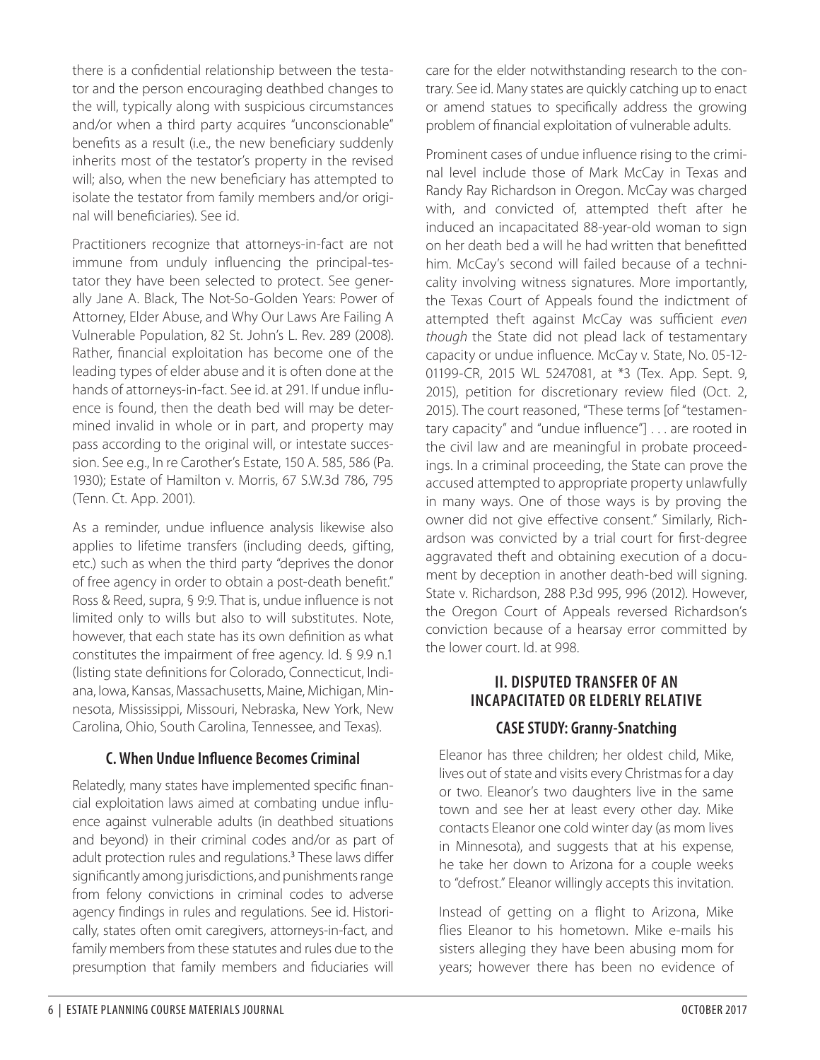there is a confidential relationship between the testator and the person encouraging deathbed changes to the will, typically along with suspicious circumstances and/or when a third party acquires "unconscionable" benefits as a result (i.e., the new beneficiary suddenly inherits most of the testator's property in the revised will; also, when the new beneficiary has attempted to isolate the testator from family members and/or original will beneficiaries). See id.

Practitioners recognize that attorneys-in-fact are not immune from unduly influencing the principal-testator they have been selected to protect. See generally Jane A. Black, The Not-So-Golden Years: Power of Attorney, Elder Abuse, and Why Our Laws Are Failing A Vulnerable Population, 82 St. John's L. Rev. 289 (2008). Rather, financial exploitation has become one of the leading types of elder abuse and it is often done at the hands of attorneys-in-fact. See id. at 291. If undue influence is found, then the death bed will may be determined invalid in whole or in part, and property may pass according to the original will, or intestate succession. See e.g., In re Carother's Estate, 150 A. 585, 586 (Pa. 1930); Estate of Hamilton v. Morris, 67 S.W.3d 786, 795 (Tenn. Ct. App. 2001).

As a reminder, undue influence analysis likewise also applies to lifetime transfers (including deeds, gifting, etc.) such as when the third party "deprives the donor of free agency in order to obtain a post-death benefit." Ross & Reed, supra, § 9:9. That is, undue influence is not limited only to wills but also to will substitutes. Note, however, that each state has its own definition as what constitutes the impairment of free agency. Id. § 9.9 n.1 (listing state definitions for Colorado, Connecticut, Indiana, Iowa, Kansas, Massachusetts, Maine, Michigan, Minnesota, Mississippi, Missouri, Nebraska, New York, New Carolina, Ohio, South Carolina, Tennessee, and Texas).

#### **C. When Undue Influence Becomes Criminal**

Relatedly, many states have implemented specific financial exploitation laws aimed at combating undue influence against vulnerable adults (in deathbed situations and beyond) in their criminal codes and/or as part of adult protection rules and regulations.<sup>3</sup> These laws differ significantly among jurisdictions, and punishments range from felony convictions in criminal codes to adverse agency findings in rules and regulations. See id. Historically, states often omit caregivers, attorneys-in-fact, and family members from these statutes and rules due to the presumption that family members and fiduciaries will

care for the elder notwithstanding research to the contrary. See id. Many states are quickly catching up to enact or amend statues to specifically address the growing problem of financial exploitation of vulnerable adults.

Prominent cases of undue influence rising to the criminal level include those of Mark McCay in Texas and Randy Ray Richardson in Oregon. McCay was charged with, and convicted of, attempted theft after he induced an incapacitated 88-year-old woman to sign on her death bed a will he had written that benefitted him. McCay's second will failed because of a technicality involving witness signatures. More importantly, the Texas Court of Appeals found the indictment of attempted theft against McCay was sufficient *even though* the State did not plead lack of testamentary capacity or undue influence. McCay v. State, No. 05-12- 01199-CR, 2015 WL 5247081, at \*3 (Tex. App. Sept. 9, 2015), petition for discretionary review filed (Oct. 2, 2015). The court reasoned, "These terms [of "testamentary capacity" and "undue influence"] . . . are rooted in the civil law and are meaningful in probate proceedings. In a criminal proceeding, the State can prove the accused attempted to appropriate property unlawfully in many ways. One of those ways is by proving the owner did not give effective consent." Similarly, Richardson was convicted by a trial court for first-degree aggravated theft and obtaining execution of a document by deception in another death-bed will signing. State v. Richardson, 288 P.3d 995, 996 (2012). However, the Oregon Court of Appeals reversed Richardson's conviction because of a hearsay error committed by the lower court. Id. at 998.

# **II. DISPUTED TRANSFER OF AN INCAPACITATED OR ELDERLY RELATIVE**

# **CASE STUDY: Granny-Snatching**

Eleanor has three children; her oldest child, Mike, lives out of state and visits every Christmas for a day or two. Eleanor's two daughters live in the same town and see her at least every other day. Mike contacts Eleanor one cold winter day (as mom lives in Minnesota), and suggests that at his expense, he take her down to Arizona for a couple weeks to "defrost." Eleanor willingly accepts this invitation.

Instead of getting on a flight to Arizona, Mike flies Eleanor to his hometown. Mike e-mails his sisters alleging they have been abusing mom for years; however there has been no evidence of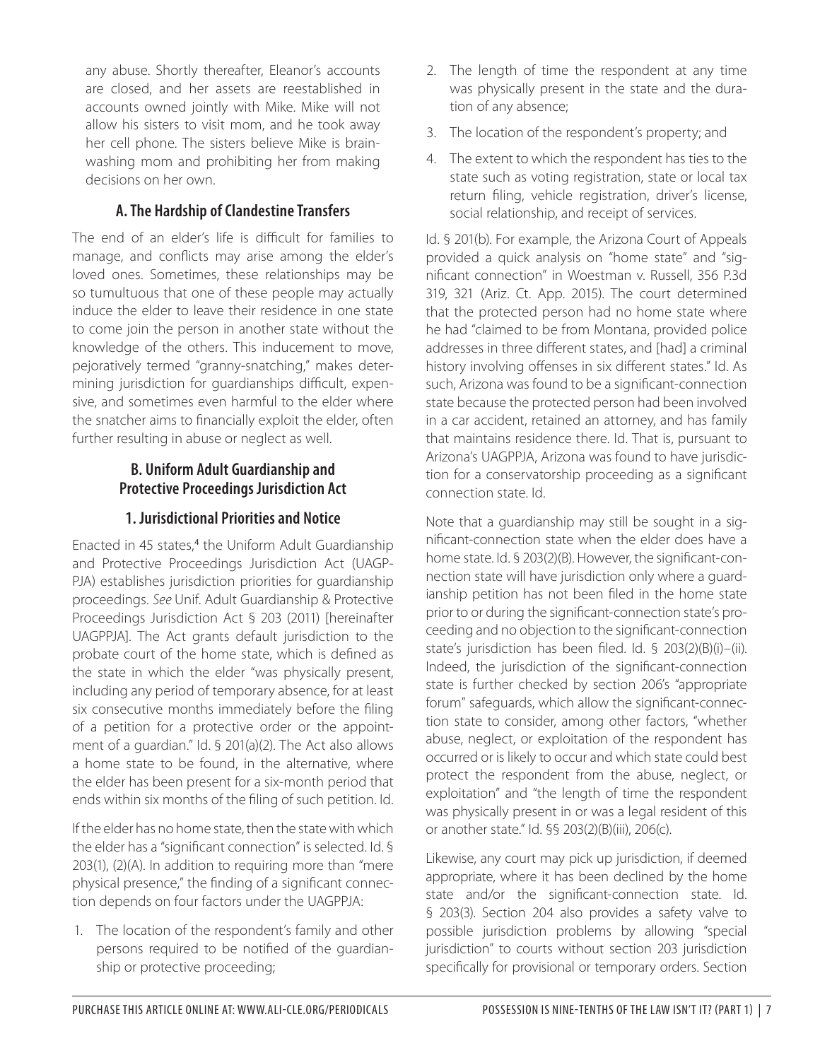any abuse. Shortly thereafter, Eleanor's accounts are closed, and her assets are reestablished in accounts owned jointly with Mike. Mike will not allow his sisters to visit mom, and he took away her cell phone. The sisters believe Mike is brainwashing mom and prohibiting her from making decisions on her own.

#### **A. The Hardship of Clandestine Transfers**

The end of an elder's life is difficult for families to manage, and conflicts may arise among the elder's loved ones. Sometimes, these relationships may be so tumultuous that one of these people may actually induce the elder to leave their residence in one state to come join the person in another state without the knowledge of the others. This inducement to move, pejoratively termed "granny-snatching," makes determining jurisdiction for guardianships difficult, expensive, and sometimes even harmful to the elder where the snatcher aims to financially exploit the elder, often further resulting in abuse or neglect as well.

#### **B. Uniform Adult Guardianship and Protective Proceedings Jurisdiction Act**

#### **1. Jurisdictional Priorities and Notice**

Enacted in 45 states,<sup>4</sup> the Uniform Adult Guardianship and Protective Proceedings Jurisdiction Act (UAGP-PJA) establishes jurisdiction priorities for guardianship proceedings. *See* Unif. Adult Guardianship & Protective Proceedings Jurisdiction Act § 203 (2011) [hereinafter UAGPPJA]. The Act grants default jurisdiction to the probate court of the home state, which is defined as the state in which the elder "was physically present, including any period of temporary absence, for at least six consecutive months immediately before the filing of a petition for a protective order or the appointment of a guardian." Id. § 201(a)(2). The Act also allows a home state to be found, in the alternative, where the elder has been present for a six-month period that ends within six months of the filing of such petition. Id.

If the elder has no home state, then the state with which the elder has a "significant connection" is selected. Id. § 203(1), (2)(A). In addition to requiring more than "mere physical presence," the finding of a significant connection depends on four factors under the UAGPPJA:

1. The location of the respondent's family and other persons required to be notified of the guardianship or protective proceeding;

- 2. The length of time the respondent at any time was physically present in the state and the duration of any absence;
- 3. The location of the respondent's property; and
- 4. The extent to which the respondent has ties to the state such as voting registration, state or local tax return filing, vehicle registration, driver's license, social relationship, and receipt of services.

Id. § 201(b). For example, the Arizona Court of Appeals provided a quick analysis on "home state" and "significant connection" in Woestman v. Russell, 356 P.3d 319, 321 (Ariz. Ct. App. 2015). The court determined that the protected person had no home state where he had "claimed to be from Montana, provided police addresses in three different states, and [had] a criminal history involving offenses in six different states." Id. As such, Arizona was found to be a significant-connection state because the protected person had been involved in a car accident, retained an attorney, and has family that maintains residence there. Id. That is, pursuant to Arizona's UAGPPJA, Arizona was found to have jurisdiction for a conservatorship proceeding as a significant connection state. Id.

Note that a guardianship may still be sought in a significant-connection state when the elder does have a home state. Id. § 203(2)(B). However, the significant-connection state will have jurisdiction only where a guardianship petition has not been filed in the home state prior to or during the significant-connection state's proceeding and no objection to the significant-connection state's jurisdiction has been filed. Id. § 203(2)(B)(i)–(ii). Indeed, the jurisdiction of the significant-connection state is further checked by section 206's "appropriate forum" safeguards, which allow the significant-connection state to consider, among other factors, "whether abuse, neglect, or exploitation of the respondent has occurred or is likely to occur and which state could best protect the respondent from the abuse, neglect, or exploitation" and "the length of time the respondent was physically present in or was a legal resident of this or another state." Id. §§ 203(2)(B)(iii), 206(c).

Likewise, any court may pick up jurisdiction, if deemed appropriate, where it has been declined by the home state and/or the significant-connection state. Id. § 203(3). Section 204 also provides a safety valve to possible jurisdiction problems by allowing "special jurisdiction" to courts without section 203 jurisdiction specifically for provisional or temporary orders. Section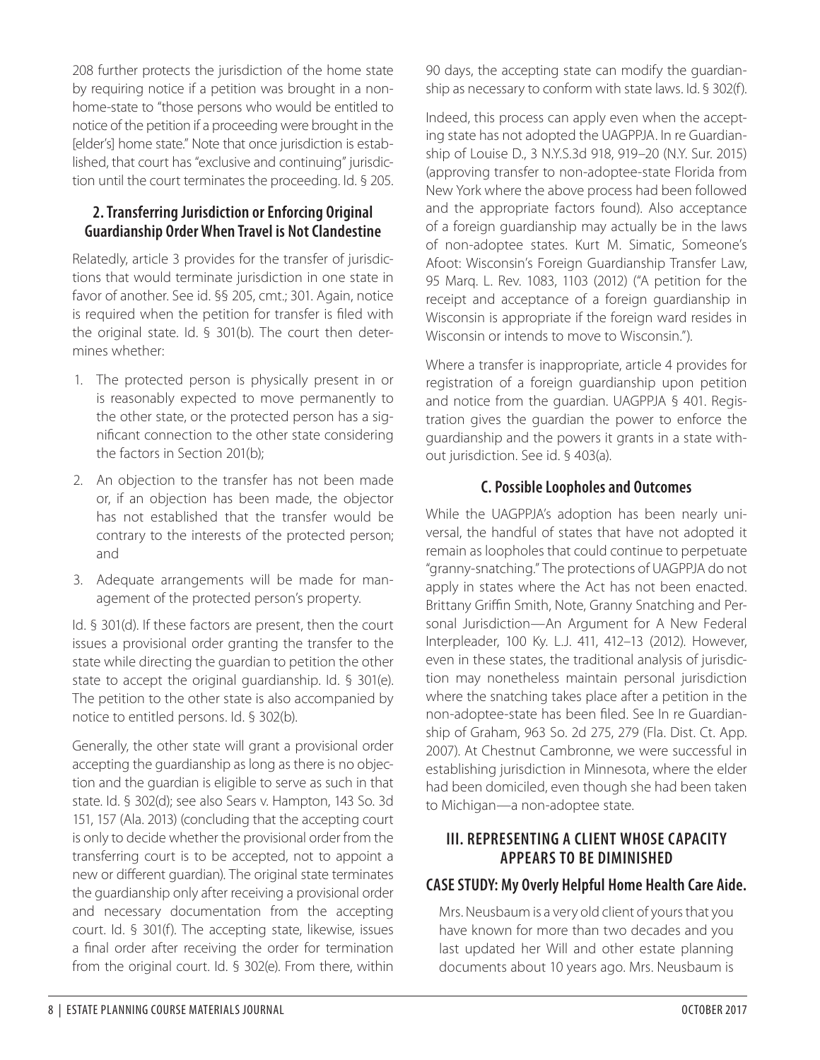208 further protects the jurisdiction of the home state by requiring notice if a petition was brought in a nonhome-state to "those persons who would be entitled to notice of the petition if a proceeding were brought in the [elder's] home state." Note that once jurisdiction is established, that court has "exclusive and continuing" jurisdiction until the court terminates the proceeding. Id. § 205.

#### **2. Transferring Jurisdiction or Enforcing Original Guardianship Order When Travel is Not Clandestine**

Relatedly, article 3 provides for the transfer of jurisdictions that would terminate jurisdiction in one state in favor of another. See id. §§ 205, cmt.; 301. Again, notice is required when the petition for transfer is filed with the original state. Id. § 301(b). The court then determines whether:

- 1. The protected person is physically present in or is reasonably expected to move permanently to the other state, or the protected person has a significant connection to the other state considering the factors in Section 201(b);
- 2. An objection to the transfer has not been made or, if an objection has been made, the objector has not established that the transfer would be contrary to the interests of the protected person; and
- 3. Adequate arrangements will be made for management of the protected person's property.

Id. § 301(d). If these factors are present, then the court issues a provisional order granting the transfer to the state while directing the guardian to petition the other state to accept the original guardianship. Id. § 301(e). The petition to the other state is also accompanied by notice to entitled persons. Id. § 302(b).

Generally, the other state will grant a provisional order accepting the guardianship as long as there is no objection and the guardian is eligible to serve as such in that state. Id. § 302(d); see also Sears v. Hampton, 143 So. 3d 151, 157 (Ala. 2013) (concluding that the accepting court is only to decide whether the provisional order from the transferring court is to be accepted, not to appoint a new or different guardian). The original state terminates the guardianship only after receiving a provisional order and necessary documentation from the accepting court. Id. § 301(f). The accepting state, likewise, issues a final order after receiving the order for termination from the original court. Id. § 302(e). From there, within

90 days, the accepting state can modify the guardianship as necessary to conform with state laws. Id. § 302(f).

Indeed, this process can apply even when the accepting state has not adopted the UAGPPJA. In re Guardianship of Louise D., 3 N.Y.S.3d 918, 919–20 (N.Y. Sur. 2015) (approving transfer to non-adoptee-state Florida from New York where the above process had been followed and the appropriate factors found). Also acceptance of a foreign guardianship may actually be in the laws of non-adoptee states. Kurt M. Simatic, Someone's Afoot: Wisconsin's Foreign Guardianship Transfer Law, 95 Marq. L. Rev. 1083, 1103 (2012) ("A petition for the receipt and acceptance of a foreign guardianship in Wisconsin is appropriate if the foreign ward resides in Wisconsin or intends to move to Wisconsin.").

Where a transfer is inappropriate, article 4 provides for registration of a foreign guardianship upon petition and notice from the guardian. UAGPPJA § 401. Registration gives the guardian the power to enforce the guardianship and the powers it grants in a state without jurisdiction. See id. § 403(a).

#### **C. Possible Loopholes and Outcomes**

While the UAGPPJA's adoption has been nearly universal, the handful of states that have not adopted it remain as loopholes that could continue to perpetuate "granny-snatching." The protections of UAGPPJA do not apply in states where the Act has not been enacted. Brittany Griffin Smith, Note, Granny Snatching and Personal Jurisdiction—An Argument for A New Federal Interpleader, 100 Ky. L.J. 411, 412–13 (2012). However, even in these states, the traditional analysis of jurisdiction may nonetheless maintain personal jurisdiction where the snatching takes place after a petition in the non-adoptee-state has been filed. See In re Guardianship of Graham, 963 So. 2d 275, 279 (Fla. Dist. Ct. App. 2007). At Chestnut Cambronne, we were successful in establishing jurisdiction in Minnesota, where the elder had been domiciled, even though she had been taken to Michigan—a non-adoptee state.

#### **III. REPRESENTING A CLIENT WHOSE CAPACITY APPEARS TO BE DIMINISHED**

#### **CASE STUDY: My Overly Helpful Home Health Care Aide.**

Mrs. Neusbaum is a very old client of yours that you have known for more than two decades and you last updated her Will and other estate planning documents about 10 years ago. Mrs. Neusbaum is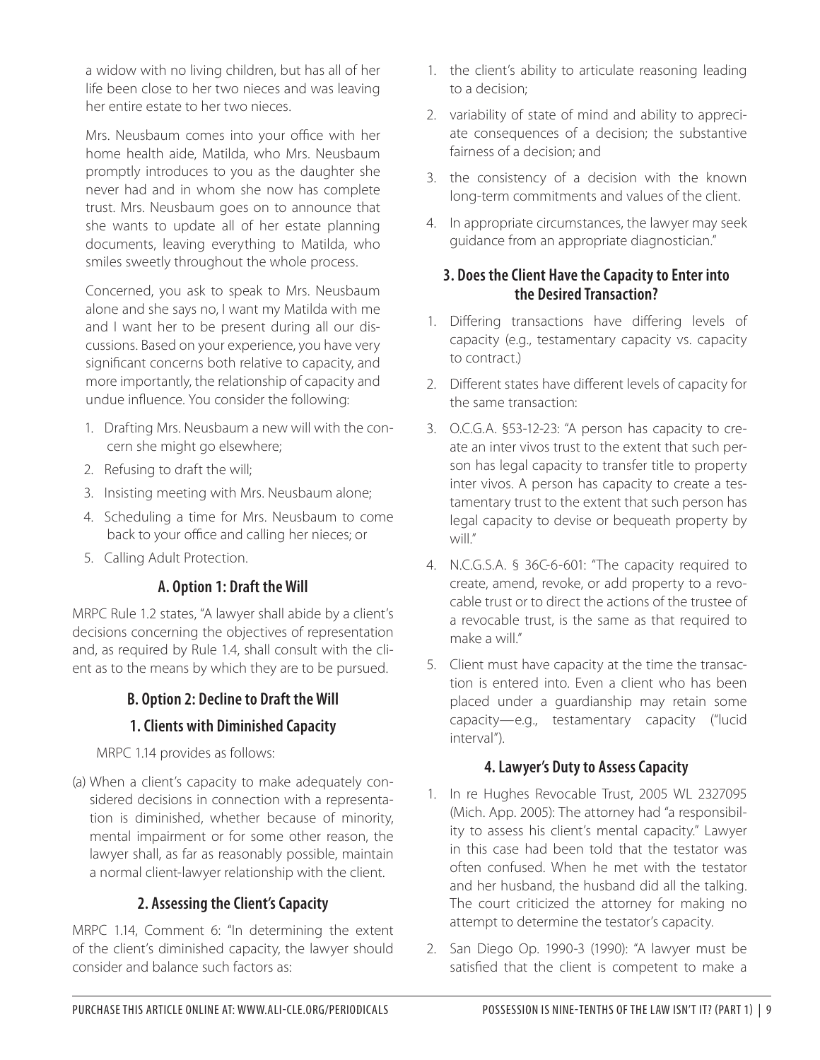a widow with no living children, but has all of her life been close to her two nieces and was leaving her entire estate to her two nieces.

Mrs. Neusbaum comes into your office with her home health aide, Matilda, who Mrs. Neusbaum promptly introduces to you as the daughter she never had and in whom she now has complete trust. Mrs. Neusbaum goes on to announce that she wants to update all of her estate planning documents, leaving everything to Matilda, who smiles sweetly throughout the whole process.

Concerned, you ask to speak to Mrs. Neusbaum alone and she says no, I want my Matilda with me and I want her to be present during all our discussions. Based on your experience, you have very significant concerns both relative to capacity, and more importantly, the relationship of capacity and undue influence. You consider the following:

- 1. Drafting Mrs. Neusbaum a new will with the concern she might go elsewhere;
- 2. Refusing to draft the will;
- 3. Insisting meeting with Mrs. Neusbaum alone;
- 4. Scheduling a time for Mrs. Neusbaum to come back to your office and calling her nieces; or
- 5. Calling Adult Protection.

#### **A. Option 1: Draft the Will**

MRPC Rule 1.2 states, "A lawyer shall abide by a client's decisions concerning the objectives of representation and, as required by Rule 1.4, shall consult with the client as to the means by which they are to be pursued.

#### **B. Option 2: Decline to Draft the Will**

#### **1. Clients with Diminished Capacity**

MRPC 1.14 provides as follows:

(a) When a client's capacity to make adequately considered decisions in connection with a representation is diminished, whether because of minority, mental impairment or for some other reason, the lawyer shall, as far as reasonably possible, maintain a normal client-lawyer relationship with the client.

## **2. Assessing the Client's Capacity**

MRPC 1.14, Comment 6: "In determining the extent of the client's diminished capacity, the lawyer should consider and balance such factors as:

- 1. the client's ability to articulate reasoning leading to a decision;
- 2. variability of state of mind and ability to appreciate consequences of a decision; the substantive fairness of a decision; and
- 3. the consistency of a decision with the known long-term commitments and values of the client.
- 4. In appropriate circumstances, the lawyer may seek guidance from an appropriate diagnostician."

#### **3. Does the Client Have the Capacity to Enter into the Desired Transaction?**

- 1. Differing transactions have differing levels of capacity (e.g., testamentary capacity vs. capacity to contract.)
- 2. Different states have different levels of capacity for the same transaction:
- 3. O.C.G.A. §53-12-23: "A person has capacity to create an inter vivos trust to the extent that such person has legal capacity to transfer title to property inter vivos. A person has capacity to create a testamentary trust to the extent that such person has legal capacity to devise or bequeath property by will."
- 4. N.C.G.S.A. § 36C-6-601: "The capacity required to create, amend, revoke, or add property to a revocable trust or to direct the actions of the trustee of a revocable trust, is the same as that required to make a will."
- 5. Client must have capacity at the time the transaction is entered into. Even a client who has been placed under a guardianship may retain some capacity—e.g., testamentary capacity ("lucid interval").

#### **4. Lawyer's Duty to Assess Capacity**

- 1. In re Hughes Revocable Trust, 2005 WL 2327095 (Mich. App. 2005): The attorney had "a responsibility to assess his client's mental capacity." Lawyer in this case had been told that the testator was often confused. When he met with the testator and her husband, the husband did all the talking. The court criticized the attorney for making no attempt to determine the testator's capacity.
- 2. San Diego Op. 1990-3 (1990): "A lawyer must be satisfied that the client is competent to make a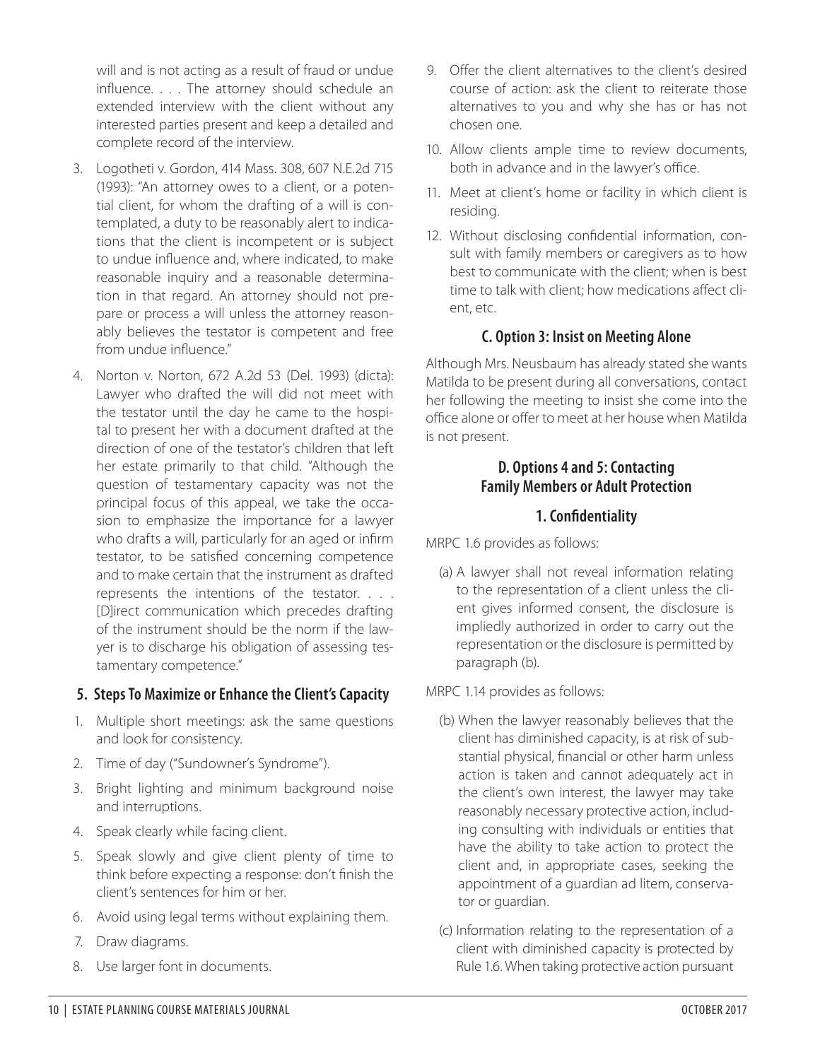will and is not acting as a result of fraud or undue influence. . . . The attorney should schedule an extended interview with the client without any interested parties present and keep a detailed and complete record of the interview.

- 3. Logotheti v. Gordon, 414 Mass. 308, 607 N.E.2d 715 (1993): "An attorney owes to a client, or a potential client, for whom the drafting of a will is contemplated, a duty to be reasonably alert to indications that the client is incompetent or is subject to undue influence and, where indicated, to make reasonable inquiry and a reasonable determination in that regard. An attorney should not prepare or process a will unless the attorney reasonably believes the testator is competent and free from undue influence"
- 4. Norton v. Norton, 672 A.2d 53 (Del. 1993) (dicta): Lawyer who drafted the will did not meet with the testator until the day he came to the hospital to present her with a document drafted at the direction of one of the testator's children that left her estate primarily to that child. "Although the question of testamentary capacity was not the principal focus of this appeal, we take the occasion to emphasize the importance for a lawyer who drafts a will, particularly for an aged or infirm testator, to be satisfied concerning competence and to make certain that the instrument as drafted represents the intentions of the testator. . . . [D]irect communication which precedes drafting of the instrument should be the norm if the lawyer is to discharge his obligation of assessing testamentary competence."

#### **5. Steps To Maximize or Enhance the Client's Capacity**

- 1. Multiple short meetings: ask the same questions and look for consistency.
- 2. Time of day ("Sundowner's Syndrome").
- 3. Bright lighting and minimum background noise and interruptions.
- 4. Speak clearly while facing client.
- 5. Speak slowly and give client plenty of time to think before expecting a response: don't finish the client's sentences for him or her.
- 6. Avoid using legal terms without explaining them.
- 7. Draw diagrams.
- 8. Use larger font in documents.
- 9. Offer the client alternatives to the client's desired course of action: ask the client to reiterate those alternatives to you and why she has or has not chosen one.
- 10. Allow clients ample time to review documents, both in advance and in the lawyer's office.
- 11. Meet at client's home or facility in which client is residing.
- 12. Without disclosing confidential information, consult with family members or caregivers as to how best to communicate with the client; when is best time to talk with client; how medications affect client, etc.

#### **C. Option 3: Insist on Meeting Alone**

Although Mrs. Neusbaum has already stated she wants Matilda to be present during all conversations, contact her following the meeting to insist she come into the office alone or offer to meet at her house when Matilda is not present.

#### **D. Options 4 and 5: Contacting Family Members or Adult Protection**

#### **1. Confidentiality**

MRPC 1.6 provides as follows:

(a) A lawyer shall not reveal information relating to the representation of a client unless the client gives informed consent, the disclosure is impliedly authorized in order to carry out the representation or the disclosure is permitted by paragraph (b).

MRPC 1.14 provides as follows:

- (b) When the lawyer reasonably believes that the client has diminished capacity, is at risk of substantial physical, financial or other harm unless action is taken and cannot adequately act in the client's own interest, the lawyer may take reasonably necessary protective action, including consulting with individuals or entities that have the ability to take action to protect the client and, in appropriate cases, seeking the appointment of a guardian ad litem, conservator or guardian.
- (c) Information relating to the representation of a client with diminished capacity is protected by Rule 1.6. When taking protective action pursuant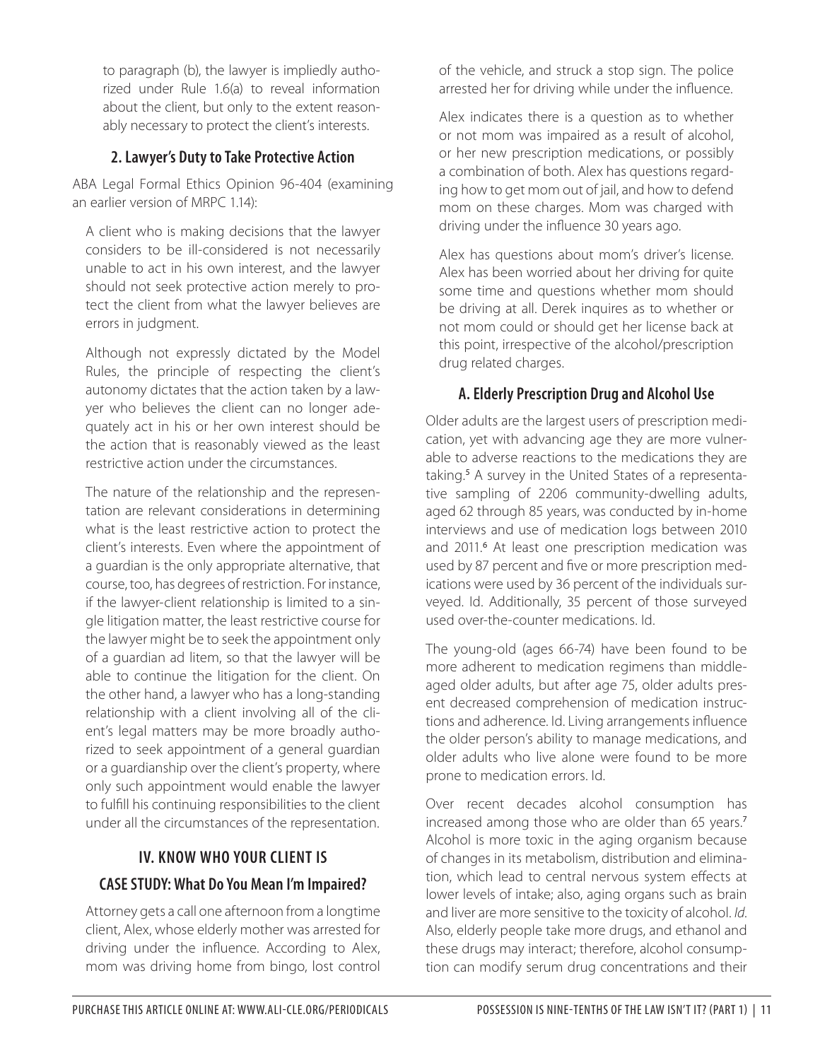to paragraph (b), the lawyer is impliedly authorized under Rule 1.6(a) to reveal information about the client, but only to the extent reasonably necessary to protect the client's interests.

#### **2. Lawyer's Duty to Take Protective Action**

ABA Legal Formal Ethics Opinion 96-404 (examining an earlier version of MRPC 1.14):

A client who is making decisions that the lawyer considers to be ill-considered is not necessarily unable to act in his own interest, and the lawyer should not seek protective action merely to protect the client from what the lawyer believes are errors in judgment.

Although not expressly dictated by the Model Rules, the principle of respecting the client's autonomy dictates that the action taken by a lawyer who believes the client can no longer adequately act in his or her own interest should be the action that is reasonably viewed as the least restrictive action under the circumstances.

The nature of the relationship and the representation are relevant considerations in determining what is the least restrictive action to protect the client's interests. Even where the appointment of a guardian is the only appropriate alternative, that course, too, has degrees of restriction. For instance, if the lawyer-client relationship is limited to a single litigation matter, the least restrictive course for the lawyer might be to seek the appointment only of a guardian ad litem, so that the lawyer will be able to continue the litigation for the client. On the other hand, a lawyer who has a long-standing relationship with a client involving all of the client's legal matters may be more broadly authorized to seek appointment of a general guardian or a guardianship over the client's property, where only such appointment would enable the lawyer to fulfill his continuing responsibilities to the client under all the circumstances of the representation.

# **IV. KNOW WHO YOUR CLIENT IS CASE STUDY: What Do You Mean I'm Impaired?**

Attorney gets a call one afternoon from a longtime client, Alex, whose elderly mother was arrested for driving under the influence. According to Alex, mom was driving home from bingo, lost control

of the vehicle, and struck a stop sign. The police arrested her for driving while under the influence.

Alex indicates there is a question as to whether or not mom was impaired as a result of alcohol, or her new prescription medications, or possibly a combination of both. Alex has questions regarding how to get mom out of jail, and how to defend mom on these charges. Mom was charged with driving under the influence 30 years ago.

Alex has questions about mom's driver's license. Alex has been worried about her driving for quite some time and questions whether mom should be driving at all. Derek inquires as to whether or not mom could or should get her license back at this point, irrespective of the alcohol/prescription drug related charges.

#### **A. Elderly Prescription Drug and Alcohol Use**

Older adults are the largest users of prescription medication, yet with advancing age they are more vulnerable to adverse reactions to the medications they are taking.<sup>5</sup> A survey in the United States of a representative sampling of 2206 community-dwelling adults, aged 62 through 85 years, was conducted by in-home interviews and use of medication logs between 2010 and 2011.<sup>6</sup> At least one prescription medication was used by 87 percent and five or more prescription medications were used by 36 percent of the individuals surveyed. Id. Additionally, 35 percent of those surveyed used over-the-counter medications. Id.

The young-old (ages 66-74) have been found to be more adherent to medication regimens than middleaged older adults, but after age 75, older adults present decreased comprehension of medication instructions and adherence. Id. Living arrangements influence the older person's ability to manage medications, and older adults who live alone were found to be more prone to medication errors. Id.

Over recent decades alcohol consumption has increased among those who are older than 65 years.<sup>7</sup> Alcohol is more toxic in the aging organism because of changes in its metabolism, distribution and elimination, which lead to central nervous system effects at lower levels of intake; also, aging organs such as brain and liver are more sensitive to the toxicity of alcohol. *Id*. Also, elderly people take more drugs, and ethanol and these drugs may interact; therefore, alcohol consumption can modify serum drug concentrations and their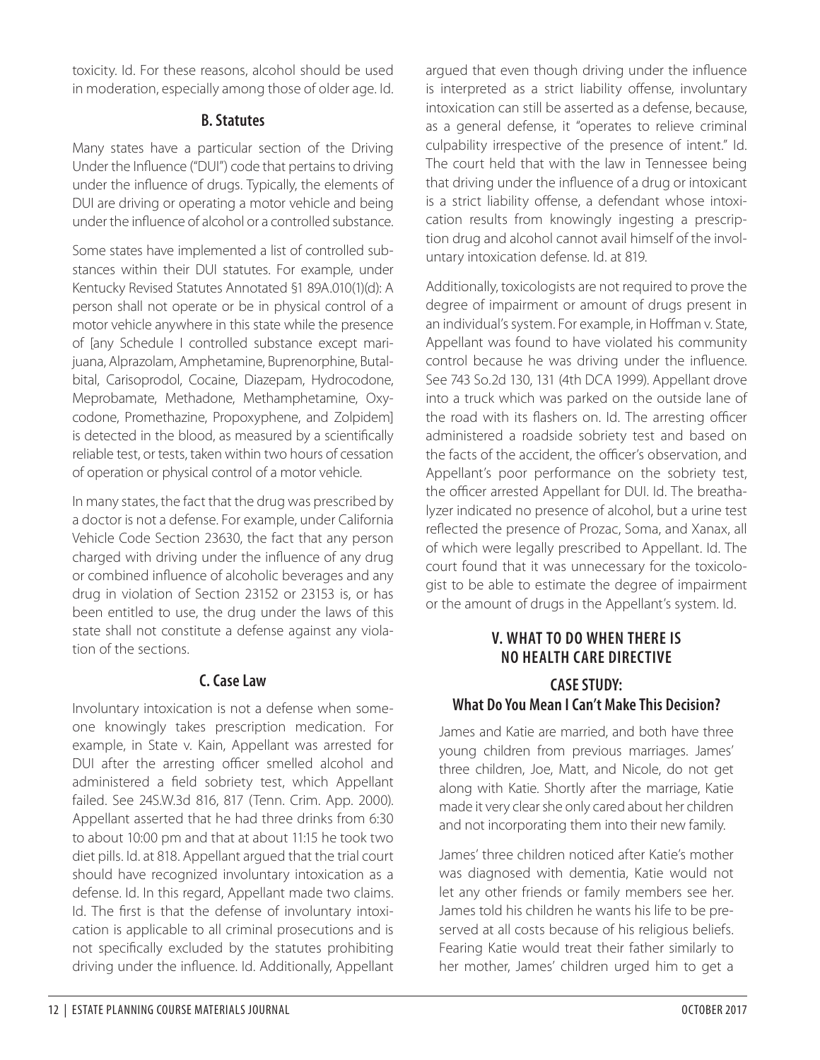toxicity. Id. For these reasons, alcohol should be used in moderation, especially among those of older age. Id.

#### **B. Statutes**

Many states have a particular section of the Driving Under the Influence ("DUI") code that pertains to driving under the influence of drugs. Typically, the elements of DUI are driving or operating a motor vehicle and being under the influence of alcohol or a controlled substance.

Some states have implemented a list of controlled substances within their DUI statutes. For example, under Kentucky Revised Statutes Annotated §1 89A.010(1)(d): A person shall not operate or be in physical control of a motor vehicle anywhere in this state while the presence of [any Schedule I controlled substance except marijuana, Alprazolam, Amphetamine, Buprenorphine, Butalbital, Carisoprodol, Cocaine, Diazepam, Hydrocodone, Meprobamate, Methadone, Methamphetamine, Oxycodone, Promethazine, Propoxyphene, and Zolpidem] is detected in the blood, as measured by a scientifically reliable test, or tests, taken within two hours of cessation of operation or physical control of a motor vehicle.

In many states, the fact that the drug was prescribed by a doctor is not a defense. For example, under California Vehicle Code Section 23630, the fact that any person charged with driving under the influence of any drug or combined influence of alcoholic beverages and any drug in violation of Section 23152 or 23153 is, or has been entitled to use, the drug under the laws of this state shall not constitute a defense against any violation of the sections.

## **C. Case Law**

Involuntary intoxication is not a defense when someone knowingly takes prescription medication. For example, in State v. Kain, Appellant was arrested for DUI after the arresting officer smelled alcohol and administered a field sobriety test, which Appellant failed. See 24S.W.3d 816, 817 (Tenn. Crim. App. 2000). Appellant asserted that he had three drinks from 6:30 to about 10:00 pm and that at about 11:15 he took two diet pills. Id. at 818. Appellant argued that the trial court should have recognized involuntary intoxication as a defense. Id. In this regard, Appellant made two claims. Id. The first is that the defense of involuntary intoxication is applicable to all criminal prosecutions and is not specifically excluded by the statutes prohibiting driving under the influence. Id. Additionally, Appellant

argued that even though driving under the influence is interpreted as a strict liability offense, involuntary intoxication can still be asserted as a defense, because, as a general defense, it "operates to relieve criminal culpability irrespective of the presence of intent." Id. The court held that with the law in Tennessee being that driving under the influence of a drug or intoxicant is a strict liability offense, a defendant whose intoxication results from knowingly ingesting a prescription drug and alcohol cannot avail himself of the involuntary intoxication defense. Id. at 819.

Additionally, toxicologists are not required to prove the degree of impairment or amount of drugs present in an individual's system. For example, in Hoffman v. State, Appellant was found to have violated his community control because he was driving under the influence. See 743 So.2d 130, 131 (4th DCA 1999). Appellant drove into a truck which was parked on the outside lane of the road with its flashers on. Id. The arresting officer administered a roadside sobriety test and based on the facts of the accident, the officer's observation, and Appellant's poor performance on the sobriety test, the officer arrested Appellant for DUI. Id. The breathalyzer indicated no presence of alcohol, but a urine test reflected the presence of Prozac, Soma, and Xanax, all of which were legally prescribed to Appellant. Id. The court found that it was unnecessary for the toxicologist to be able to estimate the degree of impairment or the amount of drugs in the Appellant's system. Id.

# **V. WHAT TO DO WHEN THERE IS NO HEALTH CARE DIRECTIVE**

#### **CASE STUDY: What Do You Mean I Can't Make This Decision?**

James and Katie are married, and both have three young children from previous marriages. James' three children, Joe, Matt, and Nicole, do not get along with Katie. Shortly after the marriage, Katie made it very clear she only cared about her children and not incorporating them into their new family.

James' three children noticed after Katie's mother was diagnosed with dementia, Katie would not let any other friends or family members see her. James told his children he wants his life to be preserved at all costs because of his religious beliefs. Fearing Katie would treat their father similarly to her mother, James' children urged him to get a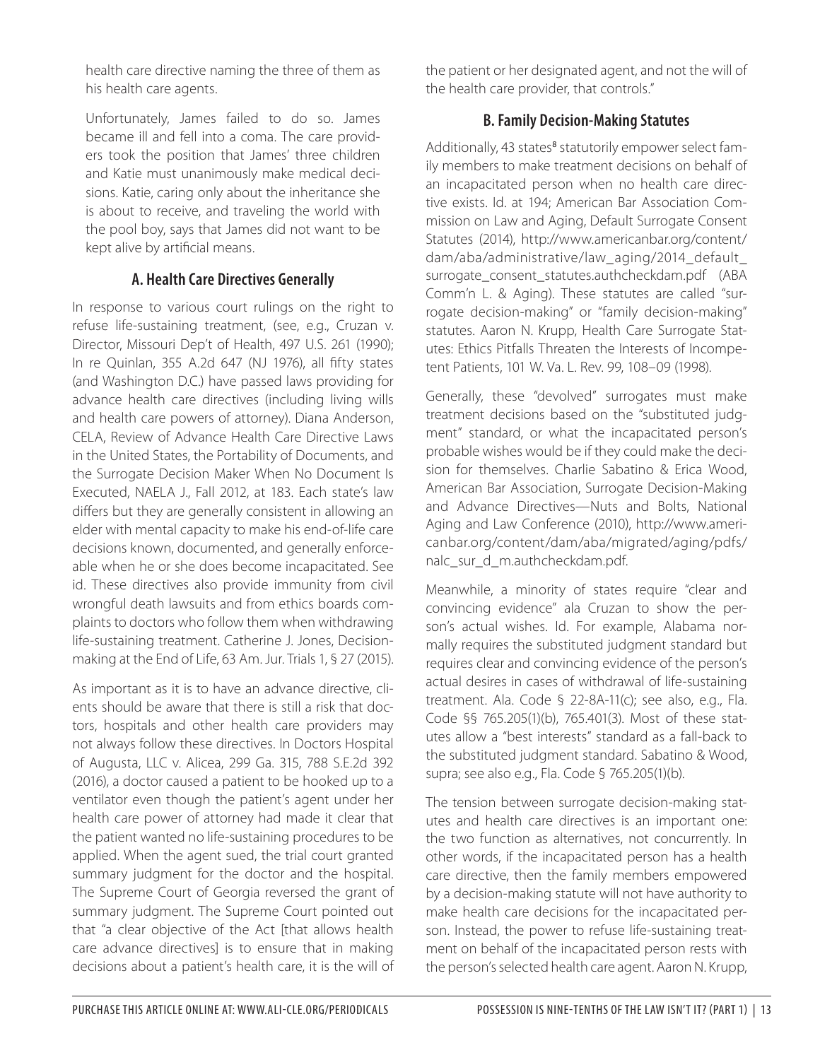health care directive naming the three of them as his health care agents.

Unfortunately, James failed to do so. James became ill and fell into a coma. The care providers took the position that James' three children and Katie must unanimously make medical decisions. Katie, caring only about the inheritance she is about to receive, and traveling the world with the pool boy, says that James did not want to be kept alive by artificial means.

#### **A. Health Care Directives Generally**

In response to various court rulings on the right to refuse life-sustaining treatment, (see, e.g., Cruzan v. Director, Missouri Dep't of Health, 497 U.S. 261 (1990); In re Quinlan, 355 A.2d 647 (NJ 1976), all fifty states (and Washington D.C.) have passed laws providing for advance health care directives (including living wills and health care powers of attorney). Diana Anderson, CELA, Review of Advance Health Care Directive Laws in the United States, the Portability of Documents, and the Surrogate Decision Maker When No Document Is Executed, NAELA J., Fall 2012, at 183. Each state's law differs but they are generally consistent in allowing an elder with mental capacity to make his end-of-life care decisions known, documented, and generally enforceable when he or she does become incapacitated. See id. These directives also provide immunity from civil wrongful death lawsuits and from ethics boards complaints to doctors who follow them when withdrawing life-sustaining treatment. Catherine J. Jones, Decisionmaking at the End of Life, 63 Am. Jur. Trials 1, § 27 (2015).

As important as it is to have an advance directive, clients should be aware that there is still a risk that doctors, hospitals and other health care providers may not always follow these directives. In Doctors Hospital of Augusta, LLC v. Alicea, 299 Ga. 315, 788 S.E.2d 392 (2016), a doctor caused a patient to be hooked up to a ventilator even though the patient's agent under her health care power of attorney had made it clear that the patient wanted no life-sustaining procedures to be applied. When the agent sued, the trial court granted summary judgment for the doctor and the hospital. The Supreme Court of Georgia reversed the grant of summary judgment. The Supreme Court pointed out that "a clear objective of the Act [that allows health care advance directives] is to ensure that in making decisions about a patient's health care, it is the will of the patient or her designated agent, and not the will of the health care provider, that controls."

#### **B. Family Decision-Making Statutes**

Additionally, 43 states<sup>8</sup> statutorily empower select family members to make treatment decisions on behalf of an incapacitated person when no health care directive exists. Id. at 194; American Bar Association Commission on Law and Aging, Default Surrogate Consent Statutes (2014), http://www.americanbar.org/content/ dam/aba/administrative/law\_aging/2014\_default\_ surrogate\_consent\_statutes.authcheckdam.pdf (ABA Comm'n L. & Aging). These statutes are called "surrogate decision-making" or "family decision-making" statutes. Aaron N. Krupp, Health Care Surrogate Statutes: Ethics Pitfalls Threaten the Interests of Incompetent Patients, 101 W. Va. L. Rev. 99, 108–09 (1998).

Generally, these "devolved" surrogates must make treatment decisions based on the "substituted judgment" standard, or what the incapacitated person's probable wishes would be if they could make the decision for themselves. Charlie Sabatino & Erica Wood, American Bar Association, Surrogate Decision-Making and Advance Directives—Nuts and Bolts, National Aging and Law Conference (2010), http://www.americanbar.org/content/dam/aba/migrated/aging/pdfs/ nalc\_sur\_d\_m.authcheckdam.pdf.

Meanwhile, a minority of states require "clear and convincing evidence" ala Cruzan to show the person's actual wishes. Id. For example, Alabama normally requires the substituted judgment standard but requires clear and convincing evidence of the person's actual desires in cases of withdrawal of life-sustaining treatment. Ala. Code § 22-8A-11(c); see also, e.g., Fla. Code §§ 765.205(1)(b), 765.401(3). Most of these statutes allow a "best interests" standard as a fall-back to the substituted judgment standard. Sabatino & Wood, supra; see also e.g., Fla. Code § 765.205(1)(b).

The tension between surrogate decision-making statutes and health care directives is an important one: the two function as alternatives, not concurrently. In other words, if the incapacitated person has a health care directive, then the family members empowered by a decision-making statute will not have authority to make health care decisions for the incapacitated person. Instead, the power to refuse life-sustaining treatment on behalf of the incapacitated person rests with the person's selected health care agent. Aaron N. Krupp,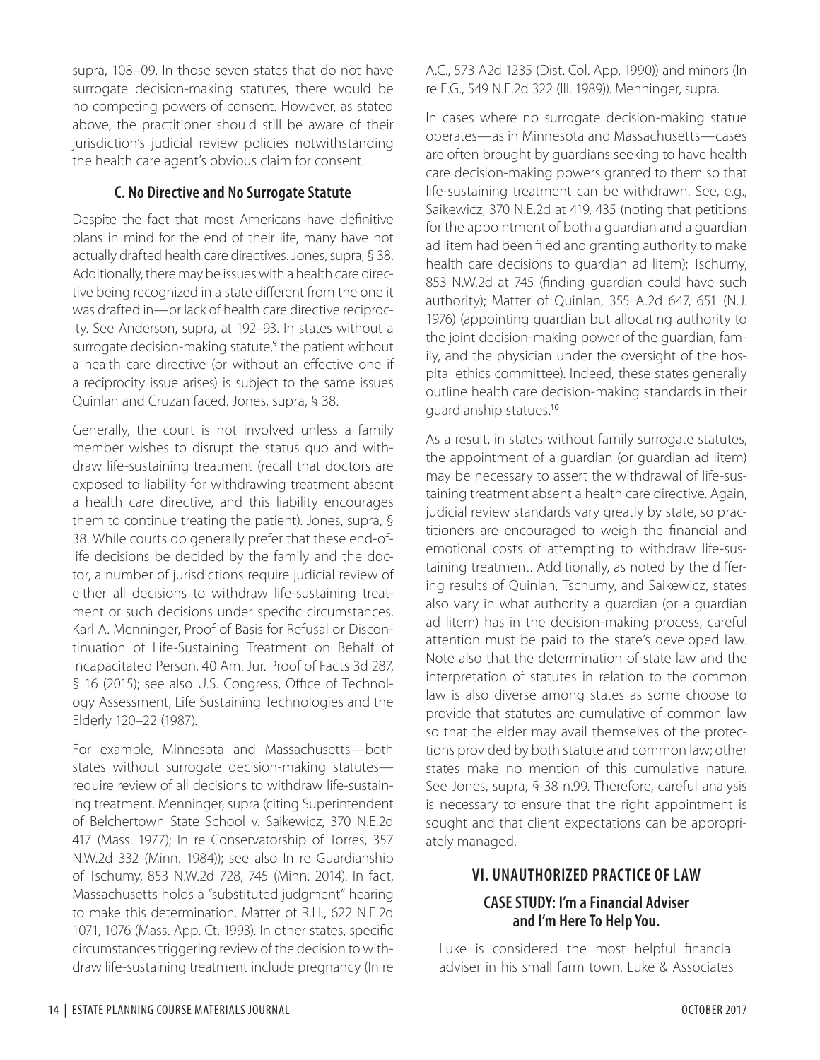supra, 108–09. In those seven states that do not have surrogate decision-making statutes, there would be no competing powers of consent. However, as stated above, the practitioner should still be aware of their jurisdiction's judicial review policies notwithstanding the health care agent's obvious claim for consent.

#### **C. No Directive and No Surrogate Statute**

Despite the fact that most Americans have definitive plans in mind for the end of their life, many have not actually drafted health care directives. Jones, supra, § 38. Additionally, there may be issues with a health care directive being recognized in a state different from the one it was drafted in—or lack of health care directive reciprocity. See Anderson, supra, at 192–93. In states without a surrogate decision-making statute,<sup>9</sup> the patient without a health care directive (or without an effective one if a reciprocity issue arises) is subject to the same issues Quinlan and Cruzan faced. Jones, supra, § 38.

Generally, the court is not involved unless a family member wishes to disrupt the status quo and withdraw life-sustaining treatment (recall that doctors are exposed to liability for withdrawing treatment absent a health care directive, and this liability encourages them to continue treating the patient). Jones, supra, § 38. While courts do generally prefer that these end-oflife decisions be decided by the family and the doctor, a number of jurisdictions require judicial review of either all decisions to withdraw life-sustaining treatment or such decisions under specific circumstances. Karl A. Menninger, Proof of Basis for Refusal or Discontinuation of Life-Sustaining Treatment on Behalf of Incapacitated Person, 40 Am. Jur. Proof of Facts 3d 287, § 16 (2015); see also U.S. Congress, Office of Technology Assessment, Life Sustaining Technologies and the Elderly 120–22 (1987).

For example, Minnesota and Massachusetts—both states without surrogate decision-making statutes require review of all decisions to withdraw life-sustaining treatment. Menninger, supra (citing Superintendent of Belchertown State School v. Saikewicz, 370 N.E.2d 417 (Mass. 1977); In re Conservatorship of Torres, 357 N.W.2d 332 (Minn. 1984)); see also In re Guardianship of Tschumy, 853 N.W.2d 728, 745 (Minn. 2014). In fact, Massachusetts holds a "substituted judgment" hearing to make this determination. Matter of R.H., 622 N.E.2d 1071, 1076 (Mass. App. Ct. 1993). In other states, specific circumstances triggering review of the decision to withdraw life-sustaining treatment include pregnancy (In re

A.C., 573 A2d 1235 (Dist. Col. App. 1990)) and minors (In re E.G., 549 N.E.2d 322 (Ill. 1989)). Menninger, supra.

In cases where no surrogate decision-making statue operates—as in Minnesota and Massachusetts—cases are often brought by guardians seeking to have health care decision-making powers granted to them so that life-sustaining treatment can be withdrawn. See, e.g., Saikewicz, 370 N.E.2d at 419, 435 (noting that petitions for the appointment of both a guardian and a guardian ad litem had been filed and granting authority to make health care decisions to guardian ad litem); Tschumy, 853 N.W.2d at 745 (finding guardian could have such authority); Matter of Quinlan, 355 A.2d 647, 651 (N.J. 1976) (appointing guardian but allocating authority to the joint decision-making power of the guardian, family, and the physician under the oversight of the hospital ethics committee). Indeed, these states generally outline health care decision-making standards in their guardianship statues.<sup>10</sup>

As a result, in states without family surrogate statutes, the appointment of a guardian (or guardian ad litem) may be necessary to assert the withdrawal of life-sustaining treatment absent a health care directive. Again, judicial review standards vary greatly by state, so practitioners are encouraged to weigh the financial and emotional costs of attempting to withdraw life-sustaining treatment. Additionally, as noted by the differing results of Quinlan, Tschumy, and Saikewicz, states also vary in what authority a guardian (or a guardian ad litem) has in the decision-making process, careful attention must be paid to the state's developed law. Note also that the determination of state law and the interpretation of statutes in relation to the common law is also diverse among states as some choose to provide that statutes are cumulative of common law so that the elder may avail themselves of the protections provided by both statute and common law; other states make no mention of this cumulative nature. See Jones, supra, § 38 n.99. Therefore, careful analysis is necessary to ensure that the right appointment is sought and that client expectations can be appropriately managed.

# **VI. UNAUTHORIZED PRACTICE OF LAW CASE STUDY: I'm a Financial Adviser and I'm Here To Help You.**

Luke is considered the most helpful financial adviser in his small farm town. Luke & Associates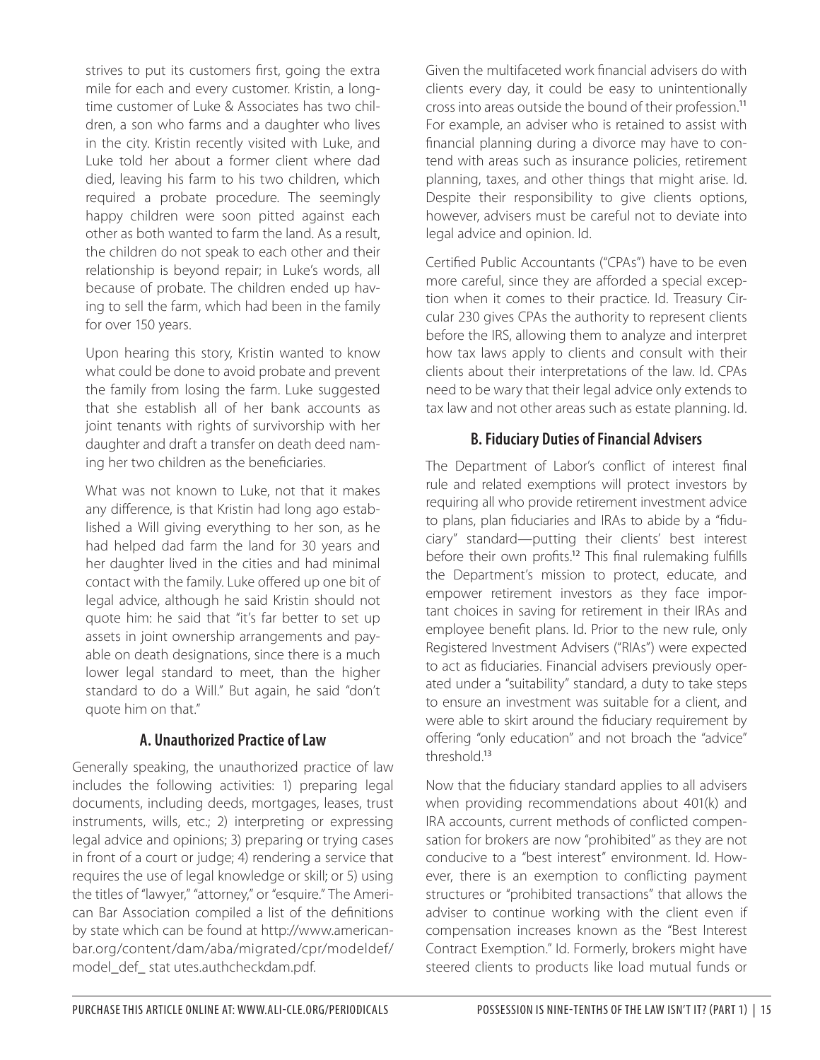strives to put its customers first, going the extra mile for each and every customer. Kristin, a longtime customer of Luke & Associates has two children, a son who farms and a daughter who lives in the city. Kristin recently visited with Luke, and Luke told her about a former client where dad died, leaving his farm to his two children, which required a probate procedure. The seemingly happy children were soon pitted against each other as both wanted to farm the land. As a result, the children do not speak to each other and their relationship is beyond repair; in Luke's words, all because of probate. The children ended up having to sell the farm, which had been in the family for over 150 years.

Upon hearing this story, Kristin wanted to know what could be done to avoid probate and prevent the family from losing the farm. Luke suggested that she establish all of her bank accounts as joint tenants with rights of survivorship with her daughter and draft a transfer on death deed naming her two children as the beneficiaries.

What was not known to Luke, not that it makes any difference, is that Kristin had long ago established a Will giving everything to her son, as he had helped dad farm the land for 30 years and her daughter lived in the cities and had minimal contact with the family. Luke offered up one bit of legal advice, although he said Kristin should not quote him: he said that "it's far better to set up assets in joint ownership arrangements and payable on death designations, since there is a much lower legal standard to meet, than the higher standard to do a Will." But again, he said "don't quote him on that."

#### **A. Unauthorized Practice of Law**

Generally speaking, the unauthorized practice of law includes the following activities: 1) preparing legal documents, including deeds, mortgages, leases, trust instruments, wills, etc.; 2) interpreting or expressing legal advice and opinions; 3) preparing or trying cases in front of a court or judge; 4) rendering a service that requires the use of legal knowledge or skill; or 5) using the titles of "lawyer," "attorney," or "esquire." The American Bar Association compiled a list of the definitions by state which can be found at http://www.americanbar.org/content/dam/aba/migrated/cpr/modeldef/ model def stat utes.authcheckdam.pdf.

Given the multifaceted work financial advisers do with clients every day, it could be easy to unintentionally cross into areas outside the bound of their profession.<sup>11</sup> For example, an adviser who is retained to assist with financial planning during a divorce may have to contend with areas such as insurance policies, retirement planning, taxes, and other things that might arise. Id. Despite their responsibility to give clients options, however, advisers must be careful not to deviate into legal advice and opinion. Id.

Certified Public Accountants ("CPAs") have to be even more careful, since they are afforded a special exception when it comes to their practice. Id. Treasury Circular 230 gives CPAs the authority to represent clients before the IRS, allowing them to analyze and interpret how tax laws apply to clients and consult with their clients about their interpretations of the law. Id. CPAs need to be wary that their legal advice only extends to tax law and not other areas such as estate planning. Id.

#### **B. Fiduciary Duties of Financial Advisers**

The Department of Labor's conflict of interest final rule and related exemptions will protect investors by requiring all who provide retirement investment advice to plans, plan fiduciaries and IRAs to abide by a "fiduciary" standard—putting their clients' best interest before their own profits.<sup>12</sup> This final rulemaking fulfills the Department's mission to protect, educate, and empower retirement investors as they face important choices in saving for retirement in their IRAs and employee benefit plans. Id. Prior to the new rule, only Registered Investment Advisers ("RIAs") were expected to act as fiduciaries. Financial advisers previously operated under a "suitability" standard, a duty to take steps to ensure an investment was suitable for a client, and were able to skirt around the fiduciary requirement by offering "only education" and not broach the "advice" threshold.<sup>13</sup>

Now that the fiduciary standard applies to all advisers when providing recommendations about 401(k) and IRA accounts, current methods of conflicted compensation for brokers are now "prohibited" as they are not conducive to a "best interest" environment. Id. However, there is an exemption to conflicting payment structures or "prohibited transactions" that allows the adviser to continue working with the client even if compensation increases known as the "Best Interest Contract Exemption." Id. Formerly, brokers might have steered clients to products like load mutual funds or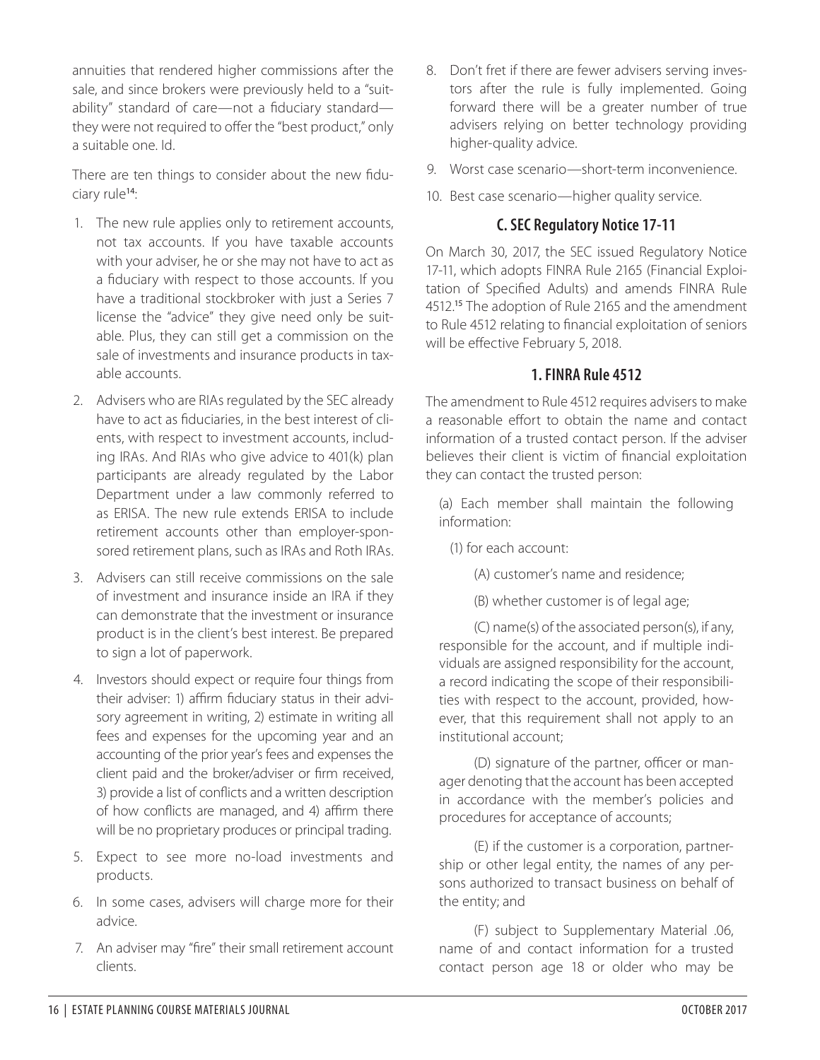annuities that rendered higher commissions after the sale, and since brokers were previously held to a "suitability" standard of care—not a fiduciary standard they were not required to offer the "best product," only a suitable one. Id.

There are ten things to consider about the new fiduciary rule<sup>14</sup>:

- 1. The new rule applies only to retirement accounts, not tax accounts. If you have taxable accounts with your adviser, he or she may not have to act as a fiduciary with respect to those accounts. If you have a traditional stockbroker with just a Series 7 license the "advice" they give need only be suitable. Plus, they can still get a commission on the sale of investments and insurance products in taxable accounts.
- 2. Advisers who are RIAs regulated by the SEC already have to act as fiduciaries, in the best interest of clients, with respect to investment accounts, including IRAs. And RIAs who give advice to 401(k) plan participants are already regulated by the Labor Department under a law commonly referred to as ERISA. The new rule extends ERISA to include retirement accounts other than employer-sponsored retirement plans, such as IRAs and Roth IRAs.
- 3. Advisers can still receive commissions on the sale of investment and insurance inside an IRA if they can demonstrate that the investment or insurance product is in the client's best interest. Be prepared to sign a lot of paperwork.
- 4. Investors should expect or require four things from their adviser: 1) affirm fiduciary status in their advisory agreement in writing, 2) estimate in writing all fees and expenses for the upcoming year and an accounting of the prior year's fees and expenses the client paid and the broker/adviser or firm received, 3) provide a list of conflicts and a written description of how conflicts are managed, and 4) affirm there will be no proprietary produces or principal trading.
- 5. Expect to see more no-load investments and products.
- 6. In some cases, advisers will charge more for their advice.
- 7. An adviser may "fire" their small retirement account clients.
- 8. Don't fret if there are fewer advisers serving investors after the rule is fully implemented. Going forward there will be a greater number of true advisers relying on better technology providing higher-quality advice.
- 9. Worst case scenario—short-term inconvenience.
- 10. Best case scenario—higher quality service.

### **C. SEC Regulatory Notice 17-11**

On March 30, 2017, the SEC issued Regulatory Notice 17-11, which adopts FINRA Rule 2165 (Financial Exploitation of Specified Adults) and amends FINRA Rule 4512.<sup>15</sup> The adoption of Rule 2165 and the amendment to Rule 4512 relating to financial exploitation of seniors will be effective February 5, 2018.

#### **1. FINRA Rule 4512**

The amendment to Rule 4512 requires advisers to make a reasonable effort to obtain the name and contact information of a trusted contact person. If the adviser believes their client is victim of financial exploitation they can contact the trusted person:

(a) Each member shall maintain the following information:

(1) for each account:

- (A) customer's name and residence;
- (B) whether customer is of legal age;

 (C) name(s) of the associated person(s), if any, responsible for the account, and if multiple individuals are assigned responsibility for the account, a record indicating the scope of their responsibilities with respect to the account, provided, however, that this requirement shall not apply to an institutional account;

 (D) signature of the partner, officer or manager denoting that the account has been accepted in accordance with the member's policies and procedures for acceptance of accounts;

 (E) if the customer is a corporation, partnership or other legal entity, the names of any persons authorized to transact business on behalf of the entity; and

 (F) subject to Supplementary Material .06, name of and contact information for a trusted contact person age 18 or older who may be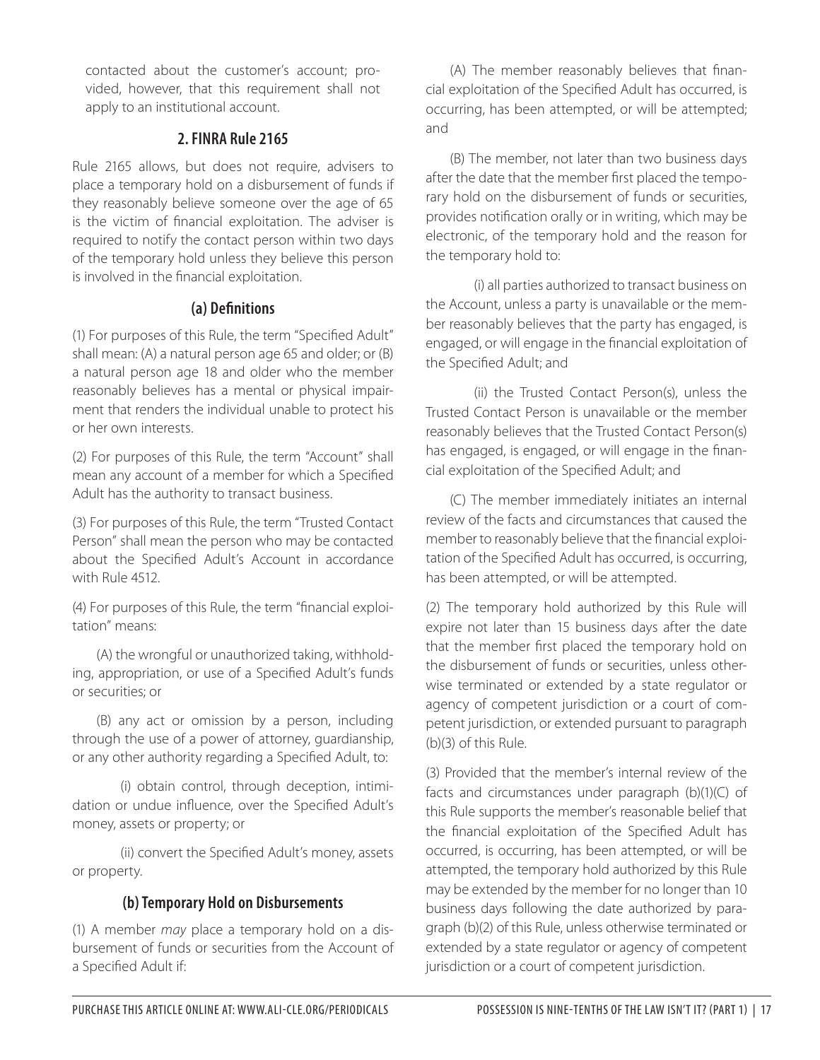contacted about the customer's account; provided, however, that this requirement shall not apply to an institutional account.

#### **2. FINRA Rule 2165**

Rule 2165 allows, but does not require, advisers to place a temporary hold on a disbursement of funds if they reasonably believe someone over the age of 65 is the victim of financial exploitation. The adviser is required to notify the contact person within two days of the temporary hold unless they believe this person is involved in the financial exploitation.

#### **(a) Definitions**

(1) For purposes of this Rule, the term "Specified Adult" shall mean: (A) a natural person age 65 and older; or (B) a natural person age 18 and older who the member reasonably believes has a mental or physical impairment that renders the individual unable to protect his or her own interests.

(2) For purposes of this Rule, the term "Account" shall mean any account of a member for which a Specified Adult has the authority to transact business.

(3) For purposes of this Rule, the term "Trusted Contact Person" shall mean the person who may be contacted about the Specified Adult's Account in accordance with Rule 4512.

(4) For purposes of this Rule, the term "financial exploitation" means:

(A) the wrongful or unauthorized taking, withholding, appropriation, or use of a Specified Adult's funds or securities; or

(B) any act or omission by a person, including through the use of a power of attorney, guardianship, or any other authority regarding a Specified Adult, to:

 (i) obtain control, through deception, intimidation or undue influence, over the Specified Adult's money, assets or property; or

 (ii) convert the Specified Adult's money, assets or property.

#### **(b) Temporary Hold on Disbursements**

(1) A member *may* place a temporary hold on a disbursement of funds or securities from the Account of a Specified Adult if:

(A) The member reasonably believes that financial exploitation of the Specified Adult has occurred, is occurring, has been attempted, or will be attempted; and

(B) The member, not later than two business days after the date that the member first placed the temporary hold on the disbursement of funds or securities, provides notification orally or in writing, which may be electronic, of the temporary hold and the reason for the temporary hold to:

 (i) all parties authorized to transact business on the Account, unless a party is unavailable or the member reasonably believes that the party has engaged, is engaged, or will engage in the financial exploitation of the Specified Adult; and

 (ii) the Trusted Contact Person(s), unless the Trusted Contact Person is unavailable or the member reasonably believes that the Trusted Contact Person(s) has engaged, is engaged, or will engage in the financial exploitation of the Specified Adult; and

(C) The member immediately initiates an internal review of the facts and circumstances that caused the member to reasonably believe that the financial exploitation of the Specified Adult has occurred, is occurring, has been attempted, or will be attempted.

(2) The temporary hold authorized by this Rule will expire not later than 15 business days after the date that the member first placed the temporary hold on the disbursement of funds or securities, unless otherwise terminated or extended by a state regulator or agency of competent jurisdiction or a court of competent jurisdiction, or extended pursuant to paragraph (b)(3) of this Rule.

(3) Provided that the member's internal review of the facts and circumstances under paragraph (b)(1)(C) of this Rule supports the member's reasonable belief that the financial exploitation of the Specified Adult has occurred, is occurring, has been attempted, or will be attempted, the temporary hold authorized by this Rule may be extended by the member for no longer than 10 business days following the date authorized by paragraph (b)(2) of this Rule, unless otherwise terminated or extended by a state regulator or agency of competent jurisdiction or a court of competent jurisdiction.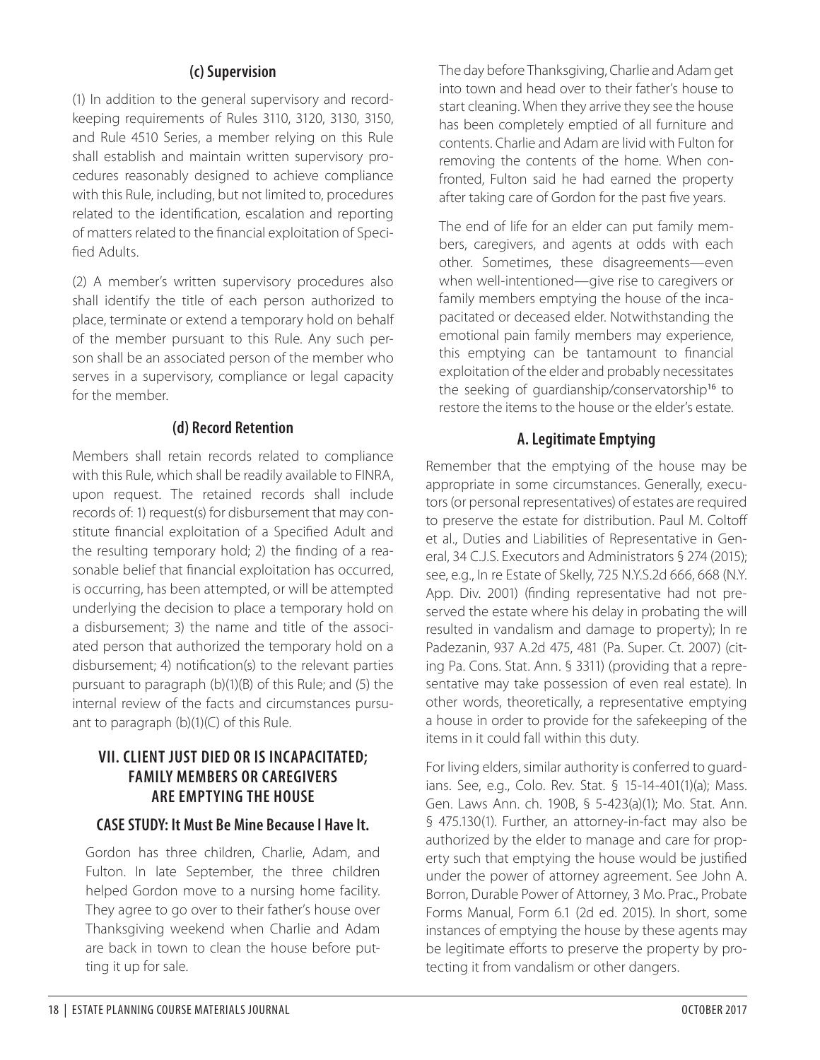#### **(c) Supervision**

(1) In addition to the general supervisory and recordkeeping requirements of Rules 3110, 3120, 3130, 3150, and Rule 4510 Series, a member relying on this Rule shall establish and maintain written supervisory procedures reasonably designed to achieve compliance with this Rule, including, but not limited to, procedures related to the identification, escalation and reporting of matters related to the financial exploitation of Specified Adults.

(2) A member's written supervisory procedures also shall identify the title of each person authorized to place, terminate or extend a temporary hold on behalf of the member pursuant to this Rule. Any such person shall be an associated person of the member who serves in a supervisory, compliance or legal capacity for the member.

#### **(d) Record Retention**

Members shall retain records related to compliance with this Rule, which shall be readily available to FINRA, upon request. The retained records shall include records of: 1) request(s) for disbursement that may constitute financial exploitation of a Specified Adult and the resulting temporary hold; 2) the finding of a reasonable belief that financial exploitation has occurred, is occurring, has been attempted, or will be attempted underlying the decision to place a temporary hold on a disbursement; 3) the name and title of the associated person that authorized the temporary hold on a disbursement; 4) notification(s) to the relevant parties pursuant to paragraph (b)(1)(B) of this Rule; and (5) the internal review of the facts and circumstances pursuant to paragraph (b)(1)(C) of this Rule.

### **VII. CLIENT JUST DIED OR IS INCAPACITATED; FAMILY MEMBERS OR CAREGIVERS ARE EMPTYING THE HOUSE**

#### **CASE STUDY: It Must Be Mine Because I Have It.**

Gordon has three children, Charlie, Adam, and Fulton. In late September, the three children helped Gordon move to a nursing home facility. They agree to go over to their father's house over Thanksgiving weekend when Charlie and Adam are back in town to clean the house before putting it up for sale.

The day before Thanksgiving, Charlie and Adam get into town and head over to their father's house to start cleaning. When they arrive they see the house has been completely emptied of all furniture and contents. Charlie and Adam are livid with Fulton for removing the contents of the home. When confronted, Fulton said he had earned the property after taking care of Gordon for the past five years.

The end of life for an elder can put family members, caregivers, and agents at odds with each other. Sometimes, these disagreements—even when well-intentioned—give rise to caregivers or family members emptying the house of the incapacitated or deceased elder. Notwithstanding the emotional pain family members may experience, this emptying can be tantamount to financial exploitation of the elder and probably necessitates the seeking of guardianship/conservatorship<sup>16</sup> to restore the items to the house or the elder's estate.

#### **A. Legitimate Emptying**

Remember that the emptying of the house may be appropriate in some circumstances. Generally, executors (or personal representatives) of estates are required to preserve the estate for distribution. Paul M. Coltoff et al., Duties and Liabilities of Representative in General, 34 C.J.S. Executors and Administrators § 274 (2015); see, e.g., In re Estate of Skelly, 725 N.Y.S.2d 666, 668 (N.Y. App. Div. 2001) (finding representative had not preserved the estate where his delay in probating the will resulted in vandalism and damage to property); In re Padezanin, 937 A.2d 475, 481 (Pa. Super. Ct. 2007) (citing Pa. Cons. Stat. Ann. § 3311) (providing that a representative may take possession of even real estate). In other words, theoretically, a representative emptying a house in order to provide for the safekeeping of the items in it could fall within this duty.

For living elders, similar authority is conferred to guardians. See, e.g., Colo. Rev. Stat. § 15-14-401(1)(a); Mass. Gen. Laws Ann. ch. 190B, § 5-423(a)(1); Mo. Stat. Ann. § 475.130(1). Further, an attorney-in-fact may also be authorized by the elder to manage and care for property such that emptying the house would be justified under the power of attorney agreement. See John A. Borron, Durable Power of Attorney, 3 Mo. Prac., Probate Forms Manual, Form 6.1 (2d ed. 2015). In short, some instances of emptying the house by these agents may be legitimate efforts to preserve the property by protecting it from vandalism or other dangers.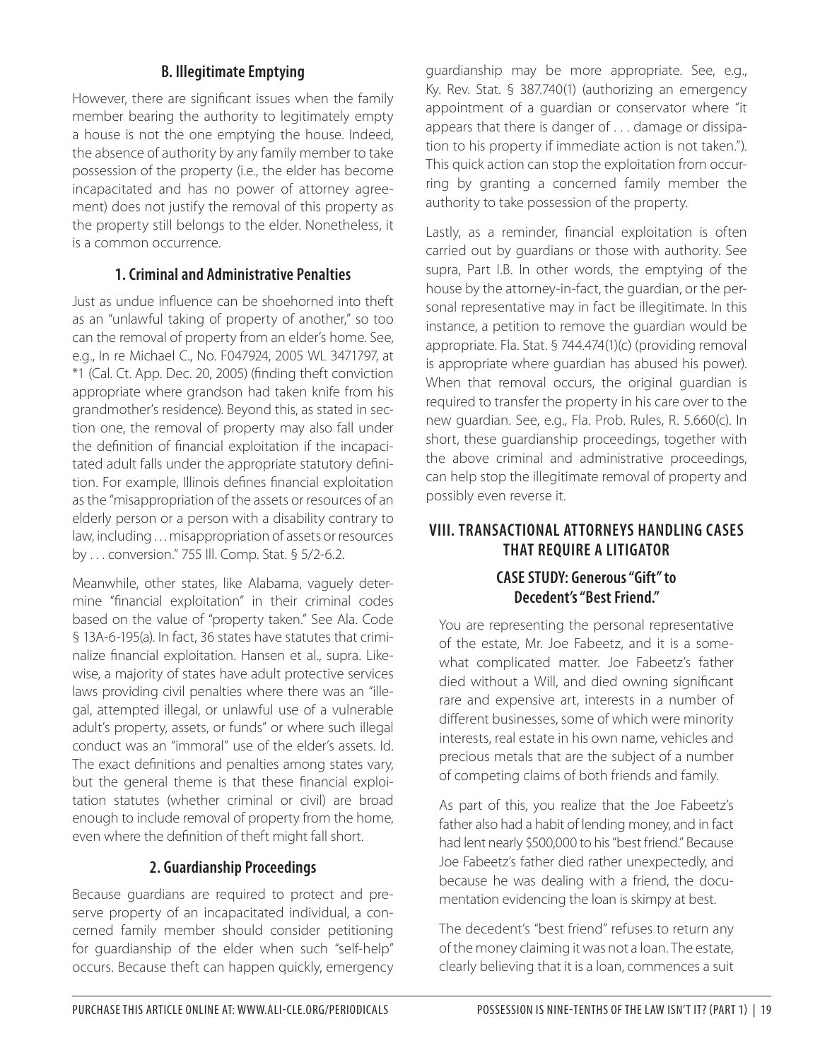## **B. Illegitimate Emptying**

However, there are significant issues when the family member bearing the authority to legitimately empty a house is not the one emptying the house. Indeed, the absence of authority by any family member to take possession of the property (i.e., the elder has become incapacitated and has no power of attorney agreement) does not justify the removal of this property as the property still belongs to the elder. Nonetheless, it is a common occurrence.

#### **1. Criminal and Administrative Penalties**

Just as undue influence can be shoehorned into theft as an "unlawful taking of property of another," so too can the removal of property from an elder's home. See, e.g., In re Michael C., No. F047924, 2005 WL 3471797, at \*1 (Cal. Ct. App. Dec. 20, 2005) (finding theft conviction appropriate where grandson had taken knife from his grandmother's residence). Beyond this, as stated in section one, the removal of property may also fall under the definition of financial exploitation if the incapacitated adult falls under the appropriate statutory definition. For example, Illinois defines financial exploitation as the "misappropriation of the assets or resources of an elderly person or a person with a disability contrary to law, including . . . misappropriation of assets or resources by . . . conversion." 755 Ill. Comp. Stat. § 5/2-6.2.

Meanwhile, other states, like Alabama, vaguely determine "financial exploitation" in their criminal codes based on the value of "property taken." See Ala. Code § 13A-6-195(a). In fact, 36 states have statutes that criminalize financial exploitation. Hansen et al., supra. Likewise, a majority of states have adult protective services laws providing civil penalties where there was an "illegal, attempted illegal, or unlawful use of a vulnerable adult's property, assets, or funds" or where such illegal conduct was an "immoral" use of the elder's assets. Id. The exact definitions and penalties among states vary, but the general theme is that these financial exploitation statutes (whether criminal or civil) are broad enough to include removal of property from the home, even where the definition of theft might fall short.

#### **2. Guardianship Proceedings**

Because guardians are required to protect and preserve property of an incapacitated individual, a concerned family member should consider petitioning for guardianship of the elder when such "self-help" occurs. Because theft can happen quickly, emergency

guardianship may be more appropriate. See, e.g., Ky. Rev. Stat. § 387.740(1) (authorizing an emergency appointment of a guardian or conservator where "it appears that there is danger of . . . damage or dissipation to his property if immediate action is not taken."). This quick action can stop the exploitation from occurring by granting a concerned family member the authority to take possession of the property.

Lastly, as a reminder, financial exploitation is often carried out by guardians or those with authority. See supra, Part I.B. In other words, the emptying of the house by the attorney-in-fact, the guardian, or the personal representative may in fact be illegitimate. In this instance, a petition to remove the guardian would be appropriate. Fla. Stat. § 744.474(1)(c) (providing removal is appropriate where guardian has abused his power). When that removal occurs, the original guardian is required to transfer the property in his care over to the new guardian. See, e.g., Fla. Prob. Rules, R. 5.660(c). In short, these guardianship proceedings, together with the above criminal and administrative proceedings, can help stop the illegitimate removal of property and possibly even reverse it.

# **VIII. TRANSACTIONAL ATTORNEYS HANDLING CASES THAT REQUIRE A LITIGATOR CASE STUDY: Generous "Gift" to**

#### **Decedent's "Best Friend."**

You are representing the personal representative of the estate, Mr. Joe Fabeetz, and it is a somewhat complicated matter. Joe Fabeetz's father died without a Will, and died owning significant rare and expensive art, interests in a number of different businesses, some of which were minority interests, real estate in his own name, vehicles and precious metals that are the subject of a number of competing claims of both friends and family.

As part of this, you realize that the Joe Fabeetz's father also had a habit of lending money, and in fact had lent nearly \$500,000 to his "best friend." Because Joe Fabeetz's father died rather unexpectedly, and because he was dealing with a friend, the documentation evidencing the loan is skimpy at best.

The decedent's "best friend" refuses to return any of the money claiming it was not a loan. The estate, clearly believing that it is a loan, commences a suit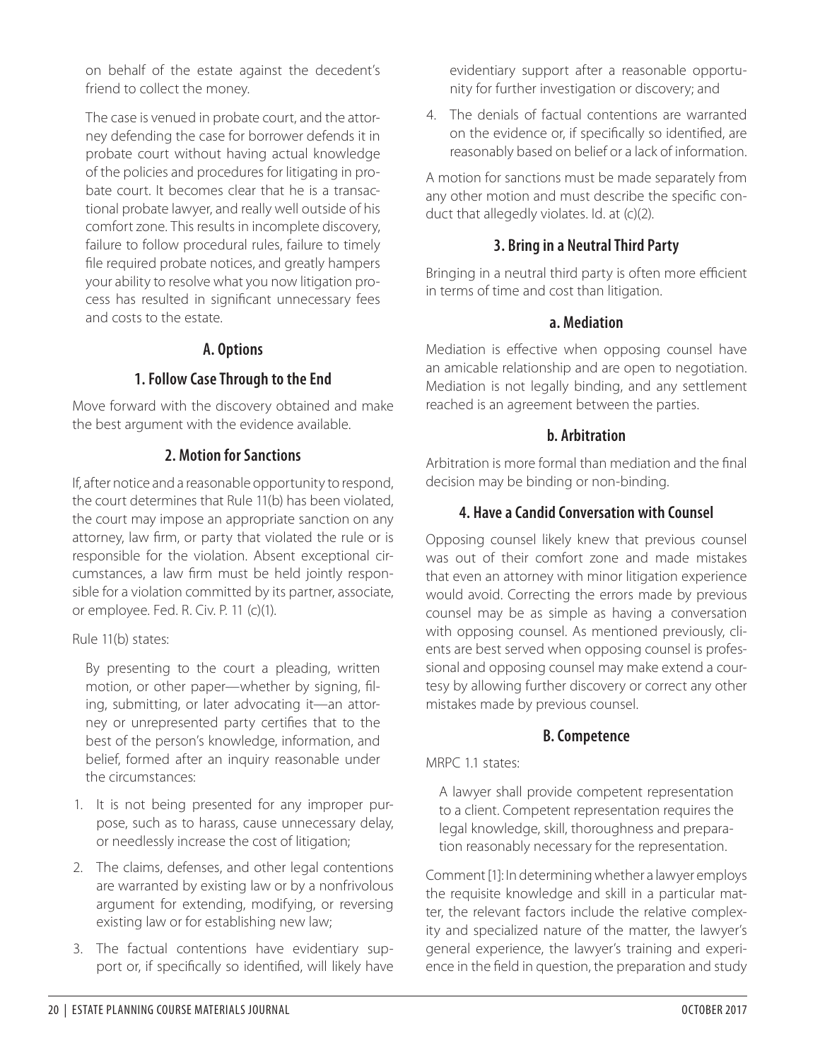on behalf of the estate against the decedent's friend to collect the money.

The case is venued in probate court, and the attorney defending the case for borrower defends it in probate court without having actual knowledge of the policies and procedures for litigating in probate court. It becomes clear that he is a transactional probate lawyer, and really well outside of his comfort zone. This results in incomplete discovery, failure to follow procedural rules, failure to timely file required probate notices, and greatly hampers your ability to resolve what you now litigation process has resulted in significant unnecessary fees and costs to the estate.

#### **A. Options**

#### **1. Follow Case Through to the End**

Move forward with the discovery obtained and make the best argument with the evidence available.

#### **2. Motion for Sanctions**

If, after notice and a reasonable opportunity to respond, the court determines that Rule 11(b) has been violated, the court may impose an appropriate sanction on any attorney, law firm, or party that violated the rule or is responsible for the violation. Absent exceptional circumstances, a law firm must be held jointly responsible for a violation committed by its partner, associate, or employee. Fed. R. Civ. P. 11 (c)(1).

Rule 11(b) states:

By presenting to the court a pleading, written motion, or other paper—whether by signing, filing, submitting, or later advocating it—an attorney or unrepresented party certifies that to the best of the person's knowledge, information, and belief, formed after an inquiry reasonable under the circumstances:

- 1. It is not being presented for any improper purpose, such as to harass, cause unnecessary delay, or needlessly increase the cost of litigation;
- 2. The claims, defenses, and other legal contentions are warranted by existing law or by a nonfrivolous argument for extending, modifying, or reversing existing law or for establishing new law;
- 3. The factual contentions have evidentiary support or, if specifically so identified, will likely have

evidentiary support after a reasonable opportunity for further investigation or discovery; and

4. The denials of factual contentions are warranted on the evidence or, if specifically so identified, are reasonably based on belief or a lack of information.

A motion for sanctions must be made separately from any other motion and must describe the specific conduct that allegedly violates. Id. at (c)(2).

## **3. Bring in a Neutral Third Party**

Bringing in a neutral third party is often more efficient in terms of time and cost than litigation.

#### **a. Mediation**

Mediation is effective when opposing counsel have an amicable relationship and are open to negotiation. Mediation is not legally binding, and any settlement reached is an agreement between the parties.

#### **b. Arbitration**

Arbitration is more formal than mediation and the final decision may be binding or non-binding.

### **4. Have a Candid Conversation with Counsel**

Opposing counsel likely knew that previous counsel was out of their comfort zone and made mistakes that even an attorney with minor litigation experience would avoid. Correcting the errors made by previous counsel may be as simple as having a conversation with opposing counsel. As mentioned previously, clients are best served when opposing counsel is professional and opposing counsel may make extend a courtesy by allowing further discovery or correct any other mistakes made by previous counsel.

#### **B. Competence**

MRPC 1.1 states:

A lawyer shall provide competent representation to a client. Competent representation requires the legal knowledge, skill, thoroughness and preparation reasonably necessary for the representation.

Comment [1]: In determining whether a lawyer employs the requisite knowledge and skill in a particular matter, the relevant factors include the relative complexity and specialized nature of the matter, the lawyer's general experience, the lawyer's training and experience in the field in question, the preparation and study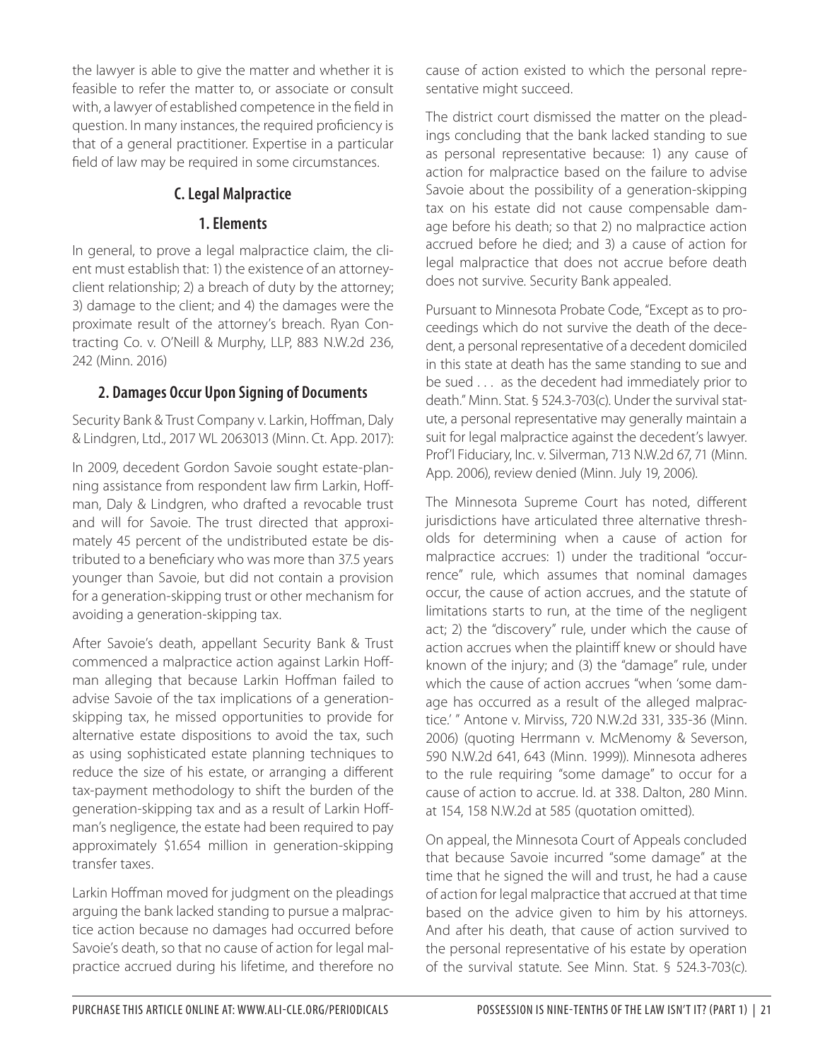the lawyer is able to give the matter and whether it is feasible to refer the matter to, or associate or consult with, a lawyer of established competence in the field in question. In many instances, the required proficiency is that of a general practitioner. Expertise in a particular field of law may be required in some circumstances.

## **C. Legal Malpractice**

#### **1. Elements**

In general, to prove a legal malpractice claim, the client must establish that: 1) the existence of an attorneyclient relationship; 2) a breach of duty by the attorney; 3) damage to the client; and 4) the damages were the proximate result of the attorney's breach. Ryan Contracting Co. v. O'Neill & Murphy, LLP, 883 N.W.2d 236, 242 (Minn. 2016)

# **2. Damages Occur Upon Signing of Documents**

Security Bank & Trust Company v. Larkin, Hoffman, Daly & Lindgren, Ltd., 2017 WL 2063013 (Minn. Ct. App. 2017):

In 2009, decedent Gordon Savoie sought estate-planning assistance from respondent law firm Larkin, Hoffman, Daly & Lindgren, who drafted a revocable trust and will for Savoie. The trust directed that approximately 45 percent of the undistributed estate be distributed to a beneficiary who was more than 37.5 years younger than Savoie, but did not contain a provision for a generation-skipping trust or other mechanism for avoiding a generation-skipping tax.

After Savoie's death, appellant Security Bank & Trust commenced a malpractice action against Larkin Hoffman alleging that because Larkin Hoffman failed to advise Savoie of the tax implications of a generationskipping tax, he missed opportunities to provide for alternative estate dispositions to avoid the tax, such as using sophisticated estate planning techniques to reduce the size of his estate, or arranging a different tax-payment methodology to shift the burden of the generation-skipping tax and as a result of Larkin Hoffman's negligence, the estate had been required to pay approximately \$1.654 million in generation-skipping transfer taxes.

Larkin Hoffman moved for judgment on the pleadings arguing the bank lacked standing to pursue a malpractice action because no damages had occurred before Savoie's death, so that no cause of action for legal malpractice accrued during his lifetime, and therefore no cause of action existed to which the personal representative might succeed.

The district court dismissed the matter on the pleadings concluding that the bank lacked standing to sue as personal representative because: 1) any cause of action for malpractice based on the failure to advise Savoie about the possibility of a generation-skipping tax on his estate did not cause compensable damage before his death; so that 2) no malpractice action accrued before he died; and 3) a cause of action for legal malpractice that does not accrue before death does not survive. Security Bank appealed.

Pursuant to Minnesota Probate Code, "Except as to proceedings which do not survive the death of the decedent, a personal representative of a decedent domiciled in this state at death has the same standing to sue and be sued . . . as the decedent had immediately prior to death." Minn. Stat. § 524.3-703(c). Under the survival statute, a personal representative may generally maintain a suit for legal malpractice against the decedent's lawyer. Prof'l Fiduciary, Inc. v. Silverman, 713 N.W.2d 67, 71 (Minn. App. 2006), review denied (Minn. July 19, 2006).

The Minnesota Supreme Court has noted, different jurisdictions have articulated three alternative thresholds for determining when a cause of action for malpractice accrues: 1) under the traditional "occurrence" rule, which assumes that nominal damages occur, the cause of action accrues, and the statute of limitations starts to run, at the time of the negligent act; 2) the "discovery" rule, under which the cause of action accrues when the plaintiff knew or should have known of the injury; and (3) the "damage" rule, under which the cause of action accrues "when 'some damage has occurred as a result of the alleged malpractice.' " Antone v. Mirviss, 720 N.W.2d 331, 335-36 (Minn. 2006) (quoting Herrmann v. McMenomy & Severson, 590 N.W.2d 641, 643 (Minn. 1999)). Minnesota adheres to the rule requiring "some damage" to occur for a cause of action to accrue. Id. at 338. Dalton, 280 Minn. at 154, 158 N.W.2d at 585 (quotation omitted).

On appeal, the Minnesota Court of Appeals concluded that because Savoie incurred "some damage" at the time that he signed the will and trust, he had a cause of action for legal malpractice that accrued at that time based on the advice given to him by his attorneys. And after his death, that cause of action survived to the personal representative of his estate by operation of the survival statute. See Minn. Stat. § 524.3-703(c).